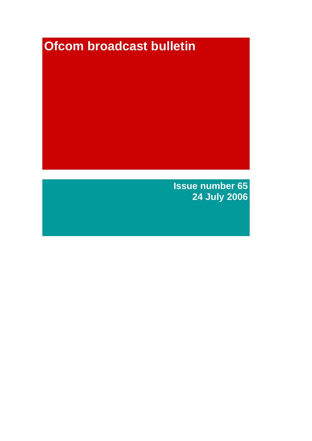# **Ofcom broadcast bulletin**

**Issue number 65 24 July 2006**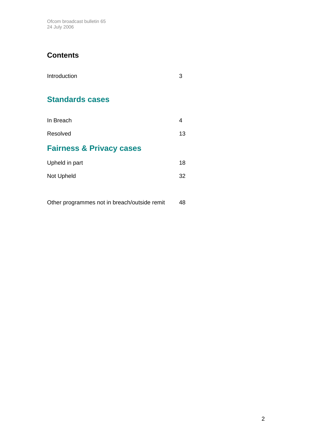Ofcom broadcast bulletin 65 24 July 2006

# **Contents**

| Introduction                        |    |
|-------------------------------------|----|
| <b>Standards cases</b>              |    |
| In Breach                           | 4  |
| Resolved                            | 13 |
| <b>Fairness &amp; Privacy cases</b> |    |
| Upheld in part                      | 18 |
| Not Upheld                          | 32 |
|                                     |    |

Other programmes not in breach/outside remit 48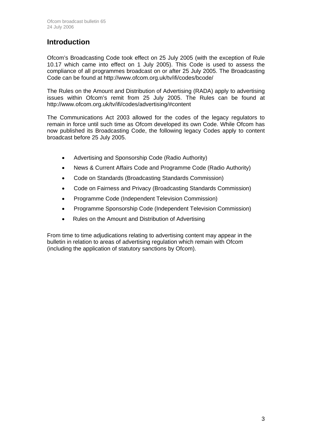# **Introduction**

Ofcom's Broadcasting Code took effect on 25 July 2005 (with the exception of Rule 10.17 which came into effect on 1 July 2005). This Code is used to assess the compliance of all programmes broadcast on or after 25 July 2005. The Broadcasting Code can be found at http://www.ofcom.org.uk/tv/ifi/codes/bcode/

The Rules on the Amount and Distribution of Advertising (RADA) apply to advertising issues within Ofcom's remit from 25 July 2005. The Rules can be found at http://www.ofcom.org.uk/tv/ifi/codes/advertising/#content

The Communications Act 2003 allowed for the codes of the legacy regulators to remain in force until such time as Ofcom developed its own Code. While Ofcom has now published its Broadcasting Code, the following legacy Codes apply to content broadcast before 25 July 2005.

- Advertising and Sponsorship Code (Radio Authority)
- News & Current Affairs Code and Programme Code (Radio Authority)
- Code on Standards (Broadcasting Standards Commission)
- Code on Fairness and Privacy (Broadcasting Standards Commission)
- Programme Code (Independent Television Commission)
- Programme Sponsorship Code (Independent Television Commission)
- Rules on the Amount and Distribution of Advertising

From time to time adjudications relating to advertising content may appear in the bulletin in relation to areas of advertising regulation which remain with Ofcom (including the application of statutory sanctions by Ofcom).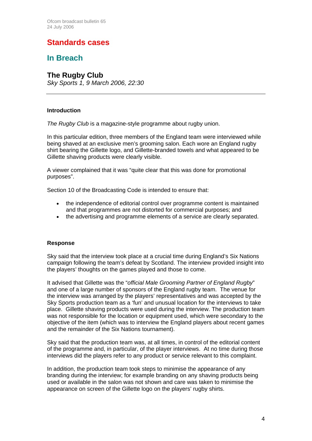# **Standards cases**

# **In Breach**

## **The Rugby Club**

*Sky Sports 1, 9 March 2006, 22:30*

## **Introduction**

The Rugby Club is a magazine-style programme about rugby union.

In this particular edition, three members of the England team were interviewed while being shaved at an exclusive men's grooming salon. Each wore an England rugby shirt bearing the Gillette logo, and Gillette-branded towels and what appeared to be Gillette shaving products were clearly visible.

A viewer complained that it was "quite clear that this was done for promotional purposes".

Section 10 of the Broadcasting Code is intended to ensure that:

- the independence of editorial control over programme content is maintained and that programmes are not distorted for commercial purposes; and
- the advertising and programme elements of a service are clearly separated.

## **Response**

Sky said that the interview took place at a crucial time during England's Six Nations campaign following the team's defeat by Scotland. The interview provided insight into the players' thoughts on the games played and those to come.

It advised that Gillette was the "*official Male Grooming Partner of England Rugby*" and one of a large number of sponsors of the England rugby team. The venue for the interview was arranged by the players' representatives and was accepted by the Sky Sports production team as a 'fun' and unusual location for the interviews to take place. Gillette shaving products were used during the interview. The production team was not responsible for the location or equipment used, which were secondary to the objective of the item (which was to interview the England players about recent games and the remainder of the Six Nations tournament).

Sky said that the production team was, at all times, in control of the editorial content of the programme and, in particular, of the player interviews. At no time during those interviews did the players refer to any product or service relevant to this complaint.

In addition, the production team took steps to minimise the appearance of any branding during the interview; for example branding on any shaving products being used or available in the salon was not shown and care was taken to minimise the appearance on screen of the Gillette logo on the players' rugby shirts.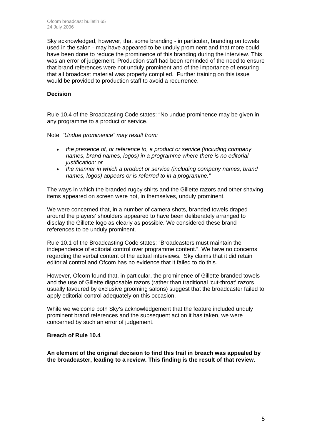Sky acknowledged, however, that some branding - in particular, branding on towels used in the salon - may have appeared to be unduly prominent and that more could have been done to reduce the prominence of this branding during the interview. This was an error of judgement. Production staff had been reminded of the need to ensure that brand references were not unduly prominent and of the importance of ensuring that all broadcast material was properly complied. Further training on this issue would be provided to production staff to avoid a recurrence.

## **Decision**

Rule 10.4 of the Broadcasting Code states: "No undue prominence may be given in any programme to a product or service.

Note: *"Undue prominence" may result from:* 

- *the presence of, or reference to, a product or service (including company names, brand names, logos) in a programme where there is no editorial justification; or*
- *the manner in which a product or service (including company names, brand names, logos) appears or is referred to in a programme."*

The ways in which the branded rugby shirts and the Gillette razors and other shaving items appeared on screen were not, in themselves, unduly prominent.

We were concerned that, in a number of camera shots, branded towels draped around the players' shoulders appeared to have been deliberately arranged to display the Gillette logo as clearly as possible. We considered these brand references to be unduly prominent.

Rule 10.1 of the Broadcasting Code states: "Broadcasters must maintain the independence of editorial control over programme content.". We have no concerns regarding the verbal content of the actual interviews. Sky claims that it did retain editorial control and Ofcom has no evidence that it failed to do this.

However, Ofcom found that, in particular, the prominence of Gillette branded towels and the use of Gillette disposable razors (rather than traditional 'cut-throat' razors usually favoured by exclusive grooming salons) suggest that the broadcaster failed to apply editorial control adequately on this occasion.

While we welcome both Sky's acknowledgement that the feature included unduly prominent brand references and the subsequent action it has taken, we were concerned by such an error of judgement.

#### **Breach of Rule 10.4**

**An element of the original decision to find this trail in breach was appealed by the broadcaster, leading to a review. This finding is the result of that review.**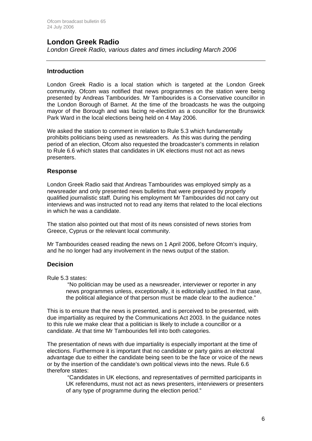## **London Greek Radio**

*London Greek Radio, various dates and times including March 2006*

## **Introduction**

London Greek Radio is a local station which is targeted at the London Greek community. Ofcom was notified that news programmes on the station were being presented by Andreas Tambourides. Mr Tambourides is a Conservative councillor in the London Borough of Barnet. At the time of the broadcasts he was the outgoing mayor of the Borough and was facing re-election as a councillor for the Brunswick Park Ward in the local elections being held on 4 May 2006.

We asked the station to comment in relation to Rule 5.3 which fundamentally prohibits politicians being used as newsreaders. As this was during the pending period of an election, Ofcom also requested the broadcaster's comments in relation to Rule 6.6 which states that candidates in UK elections must not act as news presenters.

## **Response**

London Greek Radio said that Andreas Tambourides was employed simply as a newsreader and only presented news bulletins that were prepared by properly qualified journalistic staff. During his employment Mr Tambourides did not carry out interviews and was instructed not to read any items that related to the local elections in which he was a candidate.

The station also pointed out that most of its news consisted of news stories from Greece, Cyprus or the relevant local community.

Mr Tambourides ceased reading the news on 1 April 2006, before Ofcom's inquiry, and he no longer had any involvement in the news output of the station.

## **Decision**

Rule 5.3 states:

"No politician may be used as a newsreader, interviewer or reporter in any news programmes unless, exceptionally, it is editorially justified. In that case, the political allegiance of that person must be made clear to the audience."

This is to ensure that the news is presented, and is perceived to be presented, with due impartiality as required by the Communications Act 2003. In the guidance notes to this rule we make clear that a politician is likely to include a councillor or a candidate. At that time Mr Tambourides fell into both categories.

The presentation of news with due impartiality is especially important at the time of elections. Furthermore it is important that no candidate or party gains an electoral advantage due to either the candidate being seen to be the face or voice of the news or by the insertion of the candidate's own political views into the news. Rule 6.6 therefore states:

"Candidates in UK elections, and representatives of permitted participants in UK referendums, must not act as news presenters, interviewers or presenters of any type of programme during the election period."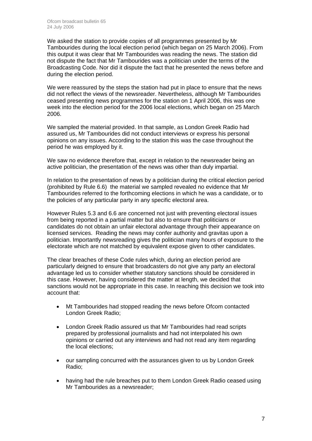We asked the station to provide copies of all programmes presented by Mr Tambourides during the local election period (which began on 25 March 2006). From this output it was clear that Mr Tambourides was reading the news. The station did not dispute the fact that Mr Tambourides was a politician under the terms of the Broadcasting Code. Nor did it dispute the fact that he presented the news before and during the election period.

We were reassured by the steps the station had put in place to ensure that the news did not reflect the views of the newsreader. Nevertheless, although Mr Tambourides ceased presenting news programmes for the station on 1 April 2006, this was one week into the election period for the 2006 local elections, which began on 25 March 2006.

We sampled the material provided. In that sample, as London Greek Radio had assured us, Mr Tambourides did not conduct interviews or express his personal opinions on any issues. According to the station this was the case throughout the period he was employed by it.

We saw no evidence therefore that, except in relation to the newsreader being an active politician, the presentation of the news was other than duly impartial.

In relation to the presentation of news by a politician during the critical election period (prohibited by Rule 6.6) the material we sampled revealed no evidence that Mr Tambourides referred to the forthcoming elections in which he was a candidate, or to the policies of any particular party in any specific electoral area.

However Rules 5.3 and 6.6 are concerned not just with preventing electoral issues from being reported in a partial matter but also to ensure that politicians or candidates do not obtain an unfair electoral advantage through their appearance on licensed services. Reading the news may confer authority and gravitas upon a politician. Importantly newsreading gives the politician many hours of exposure to the electorate which are not matched by equivalent expose given to other candidates.

The clear breaches of these Code rules which, during an election period are particularly deigned to ensure that broadcasters do not give any party an electoral advantage led us to consider whether statutory sanctions should be considered in this case. However, having considered the matter at length, we decided that sanctions would not be appropriate in this case. In reaching this decision we took into account that:

- Mt Tambourides had stopped reading the news before Ofcom contacted London Greek Radio;
- London Greek Radio assured us that Mr Tambourides had read scripts prepared by professional journalists and had not interpolated his own opinions or carried out any interviews and had not read any item regarding the local elections;
- our sampling concurred with the assurances given to us by London Greek Radio;
- having had the rule breaches put to them London Greek Radio ceased using Mr Tambourides as a newsreader;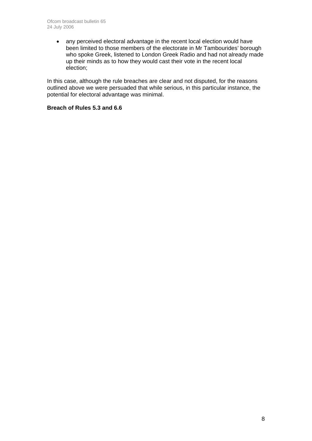• any perceived electoral advantage in the recent local election would have been limited to those members of the electorate in Mr Tambourides' borough who spoke Greek, listened to London Greek Radio and had not already made up their minds as to how they would cast their vote in the recent local election;

In this case, although the rule breaches are clear and not disputed, for the reasons outlined above we were persuaded that while serious, in this particular instance, the potential for electoral advantage was minimal.

## **Breach of Rules 5.3 and 6.6**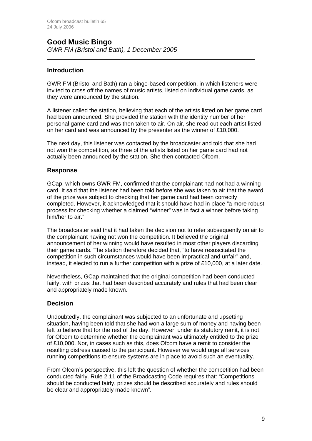## **Good Music Bingo** *GWR FM (Bristol and Bath), 1 December 2005*

## **Introduction**

 $\overline{a}$ 

GWR FM (Bristol and Bath) ran a bingo-based competition, in which listeners were invited to cross off the names of music artists, listed on individual game cards, as they were announced by the station.

A listener called the station, believing that each of the artists listed on her game card had been announced. She provided the station with the identity number of her personal game card and was then taken to air. On air, she read out each artist listed on her card and was announced by the presenter as the winner of £10,000.

The next day, this listener was contacted by the broadcaster and told that she had not won the competition, as three of the artists listed on her game card had not actually been announced by the station. She then contacted Ofcom.

## **Response**

GCap, which owns GWR FM, confirmed that the complainant had not had a winning card. It said that the listener had been told before she was taken to air that the award of the prize was subject to checking that her game card had been correctly completed. However, it acknowledged that it should have had in place "a more robust process for checking whether a claimed "winner" was in fact a winner before taking him/her to air."

The broadcaster said that it had taken the decision not to refer subsequently on air to the complainant having not won the competition. It believed the original announcement of her winning would have resulted in most other players discarding their game cards. The station therefore decided that, "to have resuscitated the competition in such circumstances would have been impractical and unfair" and, instead, it elected to run a further competition with a prize of £10,000, at a later date.

Nevertheless, GCap maintained that the original competition had been conducted fairly, with prizes that had been described accurately and rules that had been clear and appropriately made known.

## **Decision**

Undoubtedly, the complainant was subjected to an unfortunate and upsetting situation, having been told that she had won a large sum of money and having been left to believe that for the rest of the day. However, under its statutory remit, it is not for Ofcom to determine whether the complainant was ultimately entitled to the prize of £10,000. Nor, in cases such as this, does Ofcom have a remit to consider the resulting distress caused to the participant. However we would urge all services running competitions to ensure systems are in place to avoid such an eventuality.

From Ofcom's perspective, this left the question of whether the competition had been conducted fairly. Rule 2.11 of the Broadcasting Code requires that: "Competitions should be conducted fairly, prizes should be described accurately and rules should be clear and appropriately made known".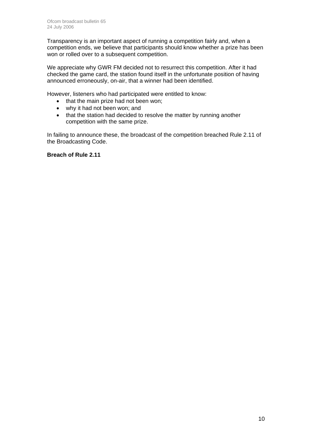Transparency is an important aspect of running a competition fairly and, when a competition ends, we believe that participants should know whether a prize has been won or rolled over to a subsequent competition.

We appreciate why GWR FM decided not to resurrect this competition. After it had checked the game card, the station found itself in the unfortunate position of having announced erroneously, on-air, that a winner had been identified.

However, listeners who had participated were entitled to know:

- that the main prize had not been won;
- why it had not been won; and
- that the station had decided to resolve the matter by running another competition with the same prize.

In failing to announce these, the broadcast of the competition breached Rule 2.11 of the Broadcasting Code.

## **Breach of Rule 2.11**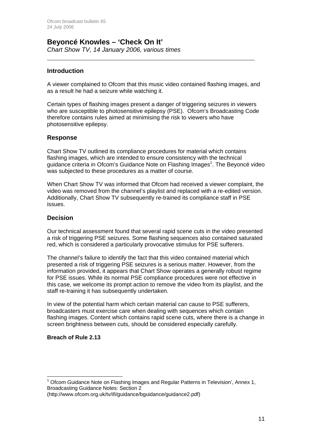# **Beyoncé Knowles – 'Check On It'**

*Chart Show TV, 14 January 2006, various times* 

## **Introduction**

 $\overline{a}$ 

A viewer complained to Ofcom that this music video contained flashing images, and as a result he had a seizure while watching it.

Certain types of flashing images present a danger of triggering seizures in viewers who are susceptible to photosensitive epilepsy (PSE). Ofcom's Broadcasting Code therefore contains rules aimed at minimising the risk to viewers who have photosensitive epilepsy.

## **Response**

Chart Show TV outlined its compliance procedures for material which contains flashing images, which are intended to ensure consistency with the technical guidance criteria in Ofcom's Guidance Note on Flashing Images<sup>1</sup>. The Beyoncé video was subjected to these procedures as a matter of course.

When Chart Show TV was informed that Ofcom had received a viewer complaint, the video was removed from the channel's playlist and replaced with a re-edited version. Additionally, Chart Show TV subsequently re-trained its compliance staff in PSE issues.

## **Decision**

Our technical assessment found that several rapid scene cuts in the video presented a risk of triggering PSE seizures. Some flashing sequences also contained saturated red, which is considered a particularly provocative stimulus for PSE sufferers.

The channel's failure to identify the fact that this video contained material which presented a risk of triggering PSE seizures is a serious matter. However, from the information provided, it appears that Chart Show operates a generally robust regime for PSE issues. While its normal PSE compliance procedures were not effective in this case, we welcome its prompt action to remove the video from its playlist, and the staff re-training it has subsequently undertaken.

In view of the potential harm which certain material can cause to PSE sufferers, broadcasters must exercise care when dealing with sequences which contain flashing images. Content which contains rapid scene cuts, where there is a change in screen brightness between cuts, should be considered especially carefully.

## **Breach of Rule 2.13**

<sup>1</sup> Ofcom Guidance Note on Flashing Images and Regular Patterns in Television', Annex 1, Broadcasting Guidance Notes: Section 2

<sup>(</sup>http://www.ofcom.org.uk/tv/ifi/guidance/bguidance/guidance2.pdf)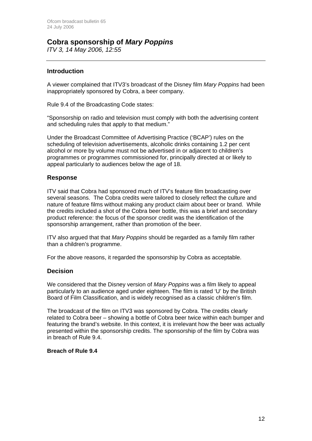# **Cobra sponsorship of** *Mary Poppins*

*ITV 3, 14 May 2006, 12:55*

## **Introduction**

A viewer complained that ITV3's broadcast of the Disney film *Mary Poppins* had been inappropriately sponsored by Cobra, a beer company.

Rule 9.4 of the Broadcasting Code states:

"Sponsorship on radio and television must comply with both the advertising content and scheduling rules that apply to that medium."

Under the Broadcast Committee of Advertising Practice ('BCAP') rules on the scheduling of television advertisements, alcoholic drinks containing 1.2 per cent alcohol or more by volume must not be advertised in or adjacent to children's programmes or programmes commissioned for, principally directed at or likely to appeal particularly to audiences below the age of 18.

## **Response**

ITV said that Cobra had sponsored much of ITV's feature film broadcasting over several seasons. The Cobra credits were tailored to closely reflect the culture and nature of feature films without making any product claim about beer or brand. While the credits included a shot of the Cobra beer bottle, this was a brief and secondary product reference: the focus of the sponsor credit was the identification of the sponsorship arrangement, rather than promotion of the beer.

ITV also argued that that *Mary Poppins* should be regarded as a family film rather than a children's programme.

For the above reasons, it regarded the sponsorship by Cobra as acceptable.

## **Decision**

We considered that the Disney version of *Mary Poppins* was a film likely to appeal particularly to an audience aged under eighteen. The film is rated 'U' by the British Board of Film Classification, and is widely recognised as a classic children's film.

The broadcast of the film on ITV3 was sponsored by Cobra. The credits clearly related to Cobra beer – showing a bottle of Cobra beer twice within each bumper and featuring the brand's website. In this context, it is irrelevant how the beer was actually presented within the sponsorship credits. The sponsorship of the film by Cobra was in breach of Rule 9.4.

## **Breach of Rule 9.4**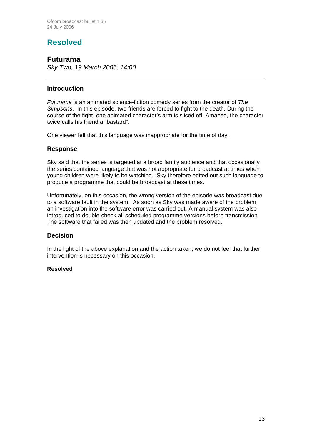# **Resolved**

## **Futurama**

*Sky Two, 19 March 2006, 14:00*

## **Introduction**

*Futurama* is an animated science-fiction comedy series from the creator of *The Simpsons*. In this episode, two friends are forced to fight to the death. During the course of the fight, one animated character's arm is sliced off. Amazed, the character twice calls his friend a "bastard".

One viewer felt that this language was inappropriate for the time of day.

## **Response**

Sky said that the series is targeted at a broad family audience and that occasionally the series contained language that was not appropriate for broadcast at times when young children were likely to be watching. Sky therefore edited out such language to produce a programme that could be broadcast at these times.

Unfortunately, on this occasion, the wrong version of the episode was broadcast due to a software fault in the system. As soon as Sky was made aware of the problem, an investigation into the software error was carried out. A manual system was also introduced to double-check all scheduled programme versions before transmission. The software that failed was then updated and the problem resolved.

## **Decision**

In the light of the above explanation and the action taken, we do not feel that further intervention is necessary on this occasion.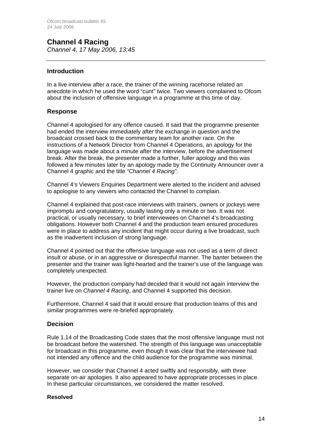## **Channel 4 Racing**  *Channel 4, 17 May 2006, 13:45*

## **Introduction**

In a live interview after a race, the trainer of the winning racehorse related an anecdote in which he used the word "cunt" twice. Two viewers complained to Ofcom about the inclusion of offensive language in a programme at this time of day.

## **Response**

Channel 4 apologised for any offence caused. It said that the programme presenter had ended the interview immediately after the exchange in question and the broadcast crossed back to the commentary team for another race. On the instructions of a Network Director from Channel 4 Operations, an apology for the language was made about a minute after the interview, before the advertisement break. After the break, the presenter made a further, fuller apology and this was followed a few minutes later by an apology made by the Continuity Announcer over a Channel 4 graphic and the title *"Channel 4 Racing"*.

Channel 4's Viewers Enquiries Department were alerted to the incident and advised to apologise to any viewers who contacted the Channel to complain.

Channel 4 explained that post-race interviews with trainers, owners or jockeys were impromptu and congratulatory, usually lasting only a minute or two. It was not practical, or usually necessary, to brief interviewees on Channel 4's broadcasting obligations. However both Channel 4 and the production team ensured procedures were in place to address any incident that might occur during a live broadcast, such as the inadvertent inclusion of strong language.

Channel 4 pointed out that the offensive language was not used as a term of direct insult or abuse, or in an aggressive or disrespectful manner. The banter between the presenter and the trainer was light-hearted and the trainer's use of the language was completely unexpected.

However, the production company had decided that it would not again interview the trainer live on *Channel 4 Racing*, and Channel 4 supported this decision.

Furthermore, Channel 4 said that it would ensure that production teams of this and similar programmes were re-briefed appropriately.

## **Decision**

Rule 1.14 of the Broadcasting Code states that the most offensive language must not be broadcast before the watershed. The strength of this language was unacceptable for broadcast in this programme, even though it was clear that the interviewee had not intended any offence and the child audience for the programme was minimal.

However, we consider that Channel 4 acted swiftly and responsibly, with three separate on-air apologies. It also appeared to have appropriate processes in place. In these particular circumstances, we considered the matter resolved.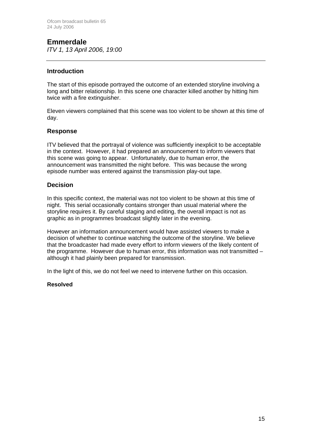# **Emmerdale**

*ITV 1, 13 April 2006, 19:00*

## **Introduction**

The start of this episode portrayed the outcome of an extended storyline involving a long and bitter relationship. In this scene one character killed another by hitting him twice with a fire extinguisher.

Eleven viewers complained that this scene was too violent to be shown at this time of day.

## **Response**

ITV believed that the portrayal of violence was sufficiently inexplicit to be acceptable in the context. However, it had prepared an announcement to inform viewers that this scene was going to appear. Unfortunately, due to human error, the announcement was transmitted the night before. This was because the wrong episode number was entered against the transmission play-out tape.

## **Decision**

In this specific context, the material was not too violent to be shown at this time of night. This serial occasionally contains stronger than usual material where the storyline requires it. By careful staging and editing, the overall impact is not as graphic as in programmes broadcast slightly later in the evening.

However an information announcement would have assisted viewers to make a decision of whether to continue watching the outcome of the storyline. We believe that the broadcaster had made every effort to inform viewers of the likely content of the programme. However due to human error, this information was not transmitted – although it had plainly been prepared for transmission.

In the light of this, we do not feel we need to intervene further on this occasion.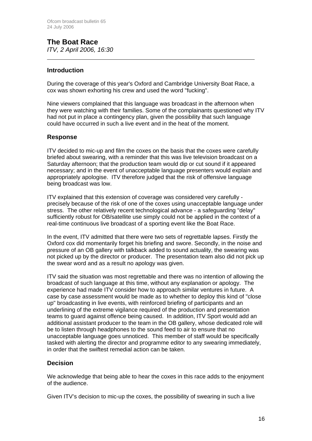## **The Boat Race**  *ITV, 2 April 2006, 16:30*

## **Introduction**

 $\overline{a}$ 

During the coverage of this year's Oxford and Cambridge University Boat Race, a cox was shown exhorting his crew and used the word "fucking".

Nine viewers complained that this language was broadcast in the afternoon when they were watching with their families. Some of the complainants questioned why ITV had not put in place a contingency plan, given the possibility that such language could have occurred in such a live event and in the heat of the moment.

## **Response**

ITV decided to mic-up and film the coxes on the basis that the coxes were carefully briefed about swearing, with a reminder that this was live television broadcast on a Saturday afternoon; that the production team would dip or cut sound if it appeared necessary; and in the event of unacceptable language presenters would explain and appropriately apologise. ITV therefore judged that the risk of offensive language being broadcast was low.

ITV explained that this extension of coverage was considered very carefully precisely because of the risk of one of the coxes using unacceptable language under stress. The other relatively recent technological advance - a safeguarding "delay" sufficiently robust for OB/satellite use simply could not be applied in the context of a real-time continuous live broadcast of a sporting event like the Boat Race.

In the event, ITV admitted that there were two sets of regrettable lapses. Firstly the Oxford cox did momentarily forget his briefing and swore. Secondly, in the noise and pressure of an OB gallery with talkback added to sound actuality, the swearing was not picked up by the director or producer. The presentation team also did not pick up the swear word and as a result no apology was given.

ITV said the situation was most regrettable and there was no intention of allowing the broadcast of such language at this time, without any explanation or apology. The experience had made ITV consider how to approach similar ventures in future. A case by case assessment would be made as to whether to deploy this kind of "close up" broadcasting in live events, with reinforced briefing of participants and an underlining of the extreme vigilance required of the production and presentation teams to guard against offence being caused. In addition, ITV Sport would add an additional assistant producer to the team in the OB gallery, whose dedicated role will be to listen through headphones to the sound feed to air to ensure that no unacceptable language goes unnoticed. This member of staff would be specifically tasked with alerting the director and programme editor to any swearing immediately, in order that the swiftest remedial action can be taken.

## **Decision**

We acknowledge that being able to hear the coxes in this race adds to the enjoyment of the audience.

Given ITV's decision to mic-up the coxes, the possibility of swearing in such a live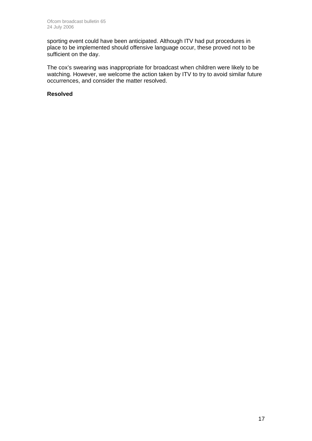sporting event could have been anticipated. Although ITV had put procedures in place to be implemented should offensive language occur, these proved not to be sufficient on the day.

The cox's swearing was inappropriate for broadcast when children were likely to be watching. However, we welcome the action taken by ITV to try to avoid similar future occurrences, and consider the matter resolved.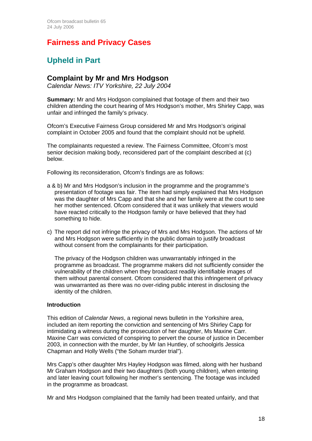# **Fairness and Privacy Cases**

# **Upheld in Part**

## **Complaint by Mr and Mrs Hodgson**

*Calendar News: ITV Yorkshire, 22 July 2004* 

**Summary:** Mr and Mrs Hodgson complained that footage of them and their two children attending the court hearing of Mrs Hodgson's mother, Mrs Shirley Capp, was unfair and infringed the family's privacy.

Ofcom's Executive Fairness Group considered Mr and Mrs Hodgson's original complaint in October 2005 and found that the complaint should not be upheld.

The complainants requested a review. The Fairness Committee, Ofcom's most senior decision making body, reconsidered part of the complaint described at (c) below.

Following its reconsideration, Ofcom's findings are as follows:

- a & b) Mr and Mrs Hodgson's inclusion in the programme and the programme's presentation of footage was fair. The item had simply explained that Mrs Hodgson was the daughter of Mrs Capp and that she and her family were at the court to see her mother sentenced. Ofcom considered that it was unlikely that viewers would have reacted critically to the Hodgson family or have believed that they had something to hide.
- c) The report did not infringe the privacy of Mrs and Mrs Hodgson. The actions of Mr and Mrs Hodgson were sufficiently in the public domain to justify broadcast without consent from the complainants for their participation.

 The privacy of the Hodgson children was unwarrantably infringed in the programme as broadcast. The programme makers did not sufficiently consider the vulnerability of the children when they broadcast readily identifiable images of them without parental consent. Ofcom considered that this infringement of privacy was unwarranted as there was no over-riding public interest in disclosing the identity of the children.

## **Introduction**

This edition of *Calendar News*, a regional news bulletin in the Yorkshire area, included an item reporting the conviction and sentencing of Mrs Shirley Capp for intimidating a witness during the prosecution of her daughter, Ms Maxine Carr. Maxine Carr was convicted of conspiring to pervert the course of justice in December 2003, in connection with the murder, by Mr Ian Huntley, of schoolgirls Jessica Chapman and Holly Wells ("the Soham murder trial").

Mrs Capp's other daughter Mrs Hayley Hodgson was filmed, along with her husband Mr Graham Hodgson and their two daughters (both young children), when entering and later leaving court following her mother's sentencing. The footage was included in the programme as broadcast.

Mr and Mrs Hodgson complained that the family had been treated unfairly, and that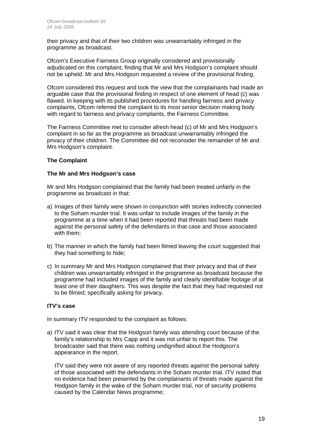their privacy and that of their two children was unwarrantably infringed in the programme as broadcast.

Ofcom's Executive Fairness Group originally considered and provisionally adjudicated on this complaint, finding that Mr and Mrs Hodgson's complaint should not be upheld. Mr and Mrs Hodgson requested a review of the provisional finding.

Ofcom considered this request and took the view that the complainants had made an arguable case that the provisional finding in respect of one element of head (c) was flawed. In keeping with its published procedures for handling fairness and privacy complaints, Ofcom referred the complaint to its most senior decision making body with regard to fairness and privacy complaints, the Fairness Committee.

The Fairness Committee met to consider afresh head (c) of Mr and Mrs Hodgson's complaint in so far as the programme as broadcast unwarrantably infringed the privacy of their children. The Committee did not reconsider the remainder of Mr and Mrs Hodgson's complaint.

## **The Complaint**

## **The Mr and Mrs Hodgson's case**

Mr and Mrs Hodgson complained that the family had been treated unfairly in the programme as broadcast in that:

- a) Images of their family were shown in conjunction with stories indirectly connected to the Soham murder trial. It was unfair to include images of the family in the programme at a time when it had been reported that threats had been made against the personal safety of the defendants in that case and those associated with them;
- b) The manner in which the family had been filmed leaving the court suggested that they had something to hide;
- c) In summary Mr and Mrs Hodgson complained that their privacy and that of their children was unwarrantably infringed in the programme as broadcast because the programme had included images of the family and clearly identifiable footage of at least one of their daughters. This was despite the fact that they had requested not to be filmed; specifically asking for privacy.

## **ITV's case**

In summary ITV responded to the complaint as follows:

a) ITV said it was clear that the Hodgson family was attending court because of the family's relationship to Mrs Capp and it was not unfair to report this. The broadcaster said that there was nothing undignified about the Hodgson's appearance in the report.

ITV said they were not aware of any reported threats against the personal safety of those associated with the defendants in the Soham murder trial. ITV noted that no evidence had been presented by the complainants of threats made against the Hodgson family in the wake of the Soham murder trial, nor of security problems caused by the Calendar News programme;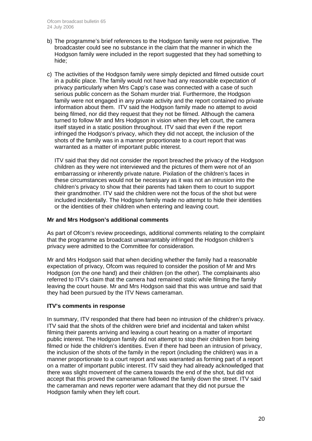- b) The programme's brief references to the Hodgson family were not pejorative. The broadcaster could see no substance in the claim that the manner in which the Hodgson family were included in the report suggested that they had something to hide;
- c) The activities of the Hodgson family were simply depicted and filmed outside court in a public place. The family would not have had any reasonable expectation of privacy particularly when Mrs Capp's case was connected with a case of such serious public concern as the Soham murder trial. Furthermore, the Hodgson family were not engaged in any private activity and the report contained no private information about them. ITV said the Hodgson family made no attempt to avoid being filmed, nor did they request that they not be filmed. Although the camera turned to follow Mr and Mrs Hodgson in vision when they left court, the camera itself stayed in a static position throughout. ITV said that even if the report infringed the Hodgson's privacy, which they did not accept, the inclusion of the shots of the family was in a manner proportionate to a court report that was warranted as a matter of important public interest.

 ITV said that they did not consider the report breached the privacy of the Hodgson children as they were not interviewed and the pictures of them were not of an embarrassing or inherently private nature. Pixilation of the children's faces in these circumstances would not be necessary as it was not an intrusion into the children's privacy to show that their parents had taken them to court to support their grandmother. ITV said the children were not the focus of the shot but were included incidentally. The Hodgson family made no attempt to hide their identities or the identities of their children when entering and leaving court.

## **Mr and Mrs Hodgson's additional comments**

As part of Ofcom's review proceedings, additional comments relating to the complaint that the programme as broadcast unwarrantably infringed the Hodgson children's privacy were admitted to the Committee for consideration.

Mr and Mrs Hodgson said that when deciding whether the family had a reasonable expectation of privacy, Ofcom was required to consider the position of Mr and Mrs Hodgson (on the one hand) and their children (on the other). The complainants also referred to ITV's claim that the camera had remained static while filming the family leaving the court house. Mr and Mrs Hodgson said that this was untrue and said that they had been pursued by the ITV News cameraman.

## **ITV's comments in response**

In summary, ITV responded that there had been no intrusion of the children's privacy. ITV said that the shots of the children were brief and incidental and taken whilst filming their parents arriving and leaving a court hearing on a matter of important public interest. The Hodgson family did not attempt to stop their children from being filmed or hide the children's identities. Even if there had been an intrusion of privacy, the inclusion of the shots of the family in the report (including the children) was in a manner proportionate to a court report and was warranted as forming part of a report on a matter of important public interest. ITV said they had already acknowledged that there was slight movement of the camera towards the end of the shot, but did not accept that this proved the cameraman followed the family down the street. ITV said the cameraman and news reporter were adamant that they did not pursue the Hodgson family when they left court.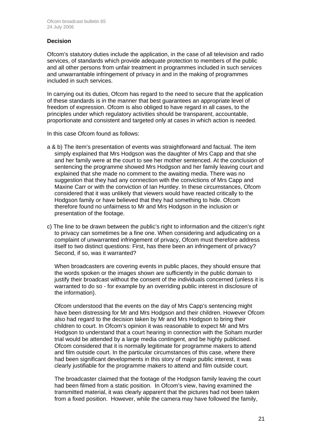## **Decision**

Ofcom's statutory duties include the application, in the case of all television and radio services, of standards which provide adequate protection to members of the public and all other persons from unfair treatment in programmes included in such services and unwarrantable infringement of privacy in and in the making of programmes included in such services.

In carrying out its duties, Ofcom has regard to the need to secure that the application of these standards is in the manner that best guarantees an appropriate level of freedom of expression. Ofcom is also obliged to have regard in all cases, to the principles under which regulatory activities should be transparent, accountable, proportionate and consistent and targeted only at cases in which action is needed.

In this case Ofcom found as follows:

- a & b) The item's presentation of events was straightforward and factual. The item simply explained that Mrs Hodgson was the daughter of Mrs Capp and that she and her family were at the court to see her mother sentenced. At the conclusion of sentencing the programme showed Mrs Hodgson and her family leaving court and explained that she made no comment to the awaiting media. There was no suggestion that they had any connection with the convictions of Mrs Capp and Maxine Carr or with the conviction of Ian Huntley. In these circumstances, Ofcom considered that it was unlikely that viewers would have reacted critically to the Hodgson family or have believed that they had something to hide. Ofcom therefore found no unfairness to Mr and Mrs Hodgson in the inclusion or presentation of the footage.
- c) The line to be drawn between the public's right to information and the citizen's right to privacy can sometimes be a fine one. When considering and adjudicating on a complaint of unwarranted infringement of privacy, Ofcom must therefore address itself to two distinct questions: First, has there been an infringement of privacy? Second, if so, was it warranted?

 When broadcasters are covering events in public places, they should ensure that the words spoken or the images shown are sufficiently in the public domain to justify their broadcast without the consent of the individuals concerned (unless it is warranted to do so - for example by an overriding public interest in disclosure of the information).

 Ofcom understood that the events on the day of Mrs Capp's sentencing might have been distressing for Mr and Mrs Hodgson and their children. However Ofcom also had regard to the decision taken by Mr and Mrs Hodgson to bring their children to court. In Ofcom's opinion it was reasonable to expect Mr and Mrs Hodgson to understand that a court hearing in connection with the Soham murder trial would be attended by a large media contingent, and be highly publicised. Ofcom considered that it is normally legitimate for programme makers to attend and film outside court. In the particular circumstances of this case, where there had been significant developments in this story of major public interest, it was clearly justifiable for the programme makers to attend and film outside court.

 The broadcaster claimed that the footage of the Hodgson family leaving the court had been filmed from a static position. In Ofcom's view, having examined the transmitted material, it was clearly apparent that the pictures had not been taken from a fixed position. However, while the camera may have followed the family,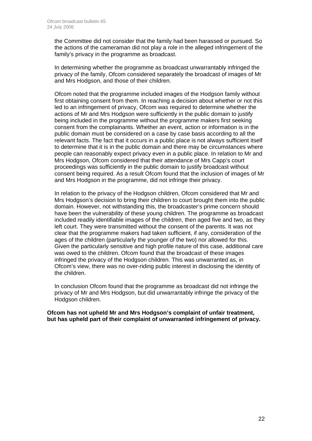the Committee did not consider that the family had been harassed or pursued. So the actions of the cameraman did not play a role in the alleged infringement of the family's privacy in the programme as broadcast.

 In determining whether the programme as broadcast unwarrantably infringed the privacy of the family, Ofcom considered separately the broadcast of images of Mr and Mrs Hodgson, and those of their children.

 Ofcom noted that the programme included images of the Hodgson family without first obtaining consent from them. In reaching a decision about whether or not this led to an infringement of privacy, Ofcom was required to determine whether the actions of Mr and Mrs Hodgson were sufficiently in the public domain to justify being included in the programme without the programme makers first seeking consent from the complainants. Whether an event, action or information is in the public domain must be considered on a case by case basis according to all the relevant facts. The fact that it occurs in a public place is not always sufficient itself to determine that it is in the public domain and there may be circumstances where people can reasonably expect privacy even in a public place. In relation to Mr and Mrs Hodgson, Ofcom considered that their attendance of Mrs Capp's court proceedings was sufficiently in the public domain to justify broadcast without consent being required. As a result Ofcom found that the inclusion of images of Mr and Mrs Hodgson in the programme, did not infringe their privacy.

In relation to the privacy of the Hodgson children, Ofcom considered that Mr and Mrs Hodgson's decision to bring their children to court brought them into the public domain. However, not withstanding this, the broadcaster's prime concern should have been the vulnerability of these young children. The programme as broadcast included readily identifiable images of the children, then aged five and two, as they left court. They were transmitted without the consent of the parents. It was not clear that the programme makers had taken sufficient, if any, consideration of the ages of the children (particularly the younger of the two) nor allowed for this. Given the particularly sensitive and high profile nature of this case, additional care was owed to the children. Ofcom found that the broadcast of these images infringed the privacy of the Hodgson children. This was unwarranted as, in Ofcom's view, there was no over-riding public interest in disclosing the identity of the children.

 In conclusion Ofcom found that the programme as broadcast did not infringe the privacy of Mr and Mrs Hodgson, but did unwarrantably infringe the privacy of the Hodgson children.

**Ofcom has not upheld Mr and Mrs Hodgson's complaint of unfair treatment, but has upheld part of their complaint of unwarranted infringement of privacy.**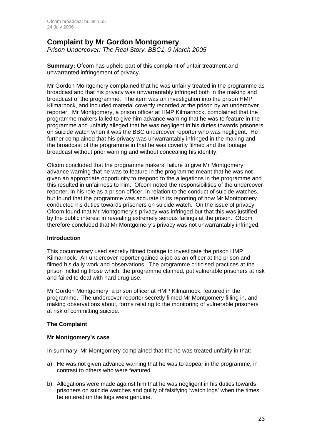## **Complaint by Mr Gordon Montgomery**

*Prison Undercover: The Real Story, BBC1, 9 March 2005* 

**Summary:** Ofcom has upheld part of this complaint of unfair treatment and unwarranted infringement of privacy.

Mr Gordon Montgomery complained that he was unfairly treated in the programme as broadcast and that his privacy was unwarrantably infringed both in the making and broadcast of the programme. The item was an investigation into the prison HMP Kilmarnock, and included material covertly recorded at the prison by an undercover reporter. Mr Montgomery, a prison officer at HMP Kilmarnock, complained that the programme makers failed to give him advance warning that he was to feature in the programme and unfairly alleged that he was negligent in his duties towards prisoners on suicide watch when it was the BBC undercover reporter who was negligent. He further complained that his privacy was unwarrantably infringed in the making and the broadcast of the programme in that he was covertly filmed and the footage broadcast without prior warning and without concealing his identity.

Ofcom concluded that the programme makers' failure to give Mr Montgomery advance warning that he was to feature in the programme meant that he was not given an appropriate opportunity to respond to the allegations in the programme and this resulted in unfairness to him. Ofcom noted the responsibilities of the undercover reporter, in his role as a prison officer, in relation to the conduct of suicide watches, but found that the programme was accurate in its reporting of how Mr Montgomery conducted his duties towards prisoners on suicide watch. On the issue of privacy Ofcom found that Mr Montgomery's privacy was infringed but that this was justified by the public interest in revealing extremely serious failings at the prison. Ofcom therefore concluded that Mr Montgomery's privacy was not unwarrantably infringed.

## **Introduction**

This documentary used secretly filmed footage to investigate the prison HMP Kilmarnock. An undercover reporter gained a job as an officer at the prison and filmed his daily work and observations. The programme criticised practices at the prison including those which, the programme claimed, put vulnerable prisoners at risk and failed to deal with hard drug use.

Mr Gordon Montgomery, a prison officer at HMP Kilmarnock, featured in the programme. The undercover reporter secretly filmed Mr Montgomery filling in, and making observations about, forms relating to the monitoring of vulnerable prisoners at risk of committing suicide.

## **The Complaint**

## **Mr Montgomery's case**

In summary, Mr Montgomery complained that the he was treated unfairly in that:

- a) He was not given advance warning that he was to appear in the programme, in contrast to others who were featured.
- b) Allegations were made against him that he was negligent in his duties towards prisoners on suicide watches and guilty of falsifying 'watch logs' when the times he entered on the logs were genuine.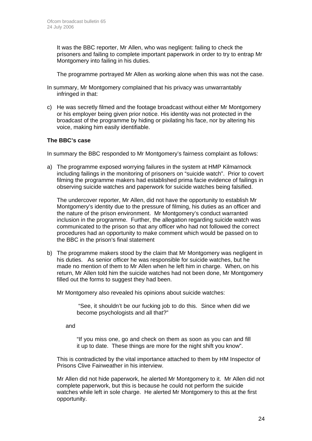It was the BBC reporter, Mr Allen, who was negligent: failing to check the prisoners and failing to complete important paperwork in order to try to entrap Mr Montgomery into failing in his duties.

The programme portrayed Mr Allen as working alone when this was not the case.

- In summary, Mr Montgomery complained that his privacy was unwarrantably infringed in that:
- c) He was secretly filmed and the footage broadcast without either Mr Montgomery or his employer being given prior notice. His identity was not protected in the broadcast of the programme by hiding or pixilating his face, nor by altering his voice, making him easily identifiable.

## **The BBC's case**

In summary the BBC responded to Mr Montgomery's fairness complaint as follows:

a) The programme exposed worrying failures in the system at HMP Kilmarnock including failings in the monitoring of prisoners on "suicide watch". Prior to covert filming the programme makers had established prima facie evidence of failings in observing suicide watches and paperwork for suicide watches being falsified.

The undercover reporter, Mr Allen, did not have the opportunity to establish Mr Montgomery's identity due to the pressure of filming, his duties as an officer and the nature of the prison environment. Mr Montgomery's conduct warranted inclusion in the programme. Further, the allegation regarding suicide watch was communicated to the prison so that any officer who had not followed the correct procedures had an opportunity to make comment which would be passed on to the BBC in the prison's final statement

b) The programme makers stood by the claim that Mr Montgomery was negligent in his duties. As senior officer he was responsible for suicide watches, but he made no mention of them to Mr Allen when he left him in charge. When, on his return, Mr Allen told him the suicide watches had not been done, Mr Montgomery filled out the forms to suggest they had been.

Mr Montgomery also revealed his opinions about suicide watches:

 "See, it shouldn't be our fucking job to do this. Since when did we become psychologists and all that?"

and

"If you miss one, go and check on them as soon as you can and fill it up to date. These things are more for the night shift you know".

This is contradicted by the vital importance attached to them by HM Inspector of Prisons Clive Fairweather in his interview.

Mr Allen did not hide paperwork, he alerted Mr Montgomery to it. Mr Allen did not complete paperwork, but this is because he could not perform the suicide watches while left in sole charge. He alerted Mr Montgomery to this at the first opportunity.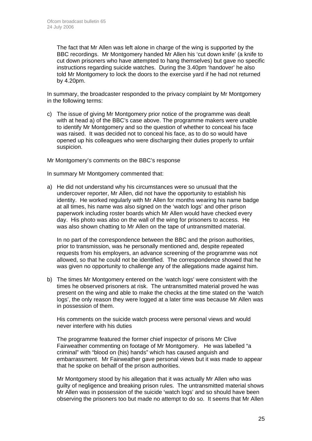The fact that Mr Allen was left alone in charge of the wing is supported by the BBC recordings. Mr Montgomery handed Mr Allen his 'cut down knife' (a knife to cut down prisoners who have attempted to hang themselves) but gave no specific instructions regarding suicide watches. During the 3.40pm 'handover' he also told Mr Montgomery to lock the doors to the exercise yard if he had not returned by 4.20pm.

In summary, the broadcaster responded to the privacy complaint by Mr Montgomery in the following terms:

c) The issue of giving Mr Montgomery prior notice of the programme was dealt with at head a) of the BBC's case above. The programme makers were unable to identify Mr Montgomery and so the question of whether to conceal his face was raised. It was decided not to conceal his face, as to do so would have opened up his colleagues who were discharging their duties properly to unfair suspicion.

Mr Montgomery's comments on the BBC's response

In summary Mr Montgomery commented that:

a) He did not understand why his circumstances were so unusual that the undercover reporter, Mr Allen, did not have the opportunity to establish his identity. He worked regularly with Mr Allen for months wearing his name badge at all times, his name was also signed on the 'watch logs' and other prison paperwork including roster boards which Mr Allen would have checked every day. His photo was also on the wall of the wing for prisoners to access. He was also shown chatting to Mr Allen on the tape of untransmitted material.

 In no part of the correspondence between the BBC and the prison authorities, prior to transmission, was he personally mentioned and, despite repeated requests from his employers, an advance screening of the programme was not allowed, so that he could not be identified. The correspondence showed that he was given no opportunity to challenge any of the allegations made against him.

b) The times Mr Montgomery entered on the 'watch logs' were consistent with the times he observed prisoners at risk. The untransmitted material proved he was present on the wing and able to make the checks at the time stated on the 'watch logs', the only reason they were logged at a later time was because Mr Allen was in possession of them.

His comments on the suicide watch process were personal views and would never interfere with his duties

The programme featured the former chief inspector of prisons Mr Clive Fairweather commenting on footage of Mr Montgomery. He was labelled "a criminal" with "blood on (his) hands" which has caused anguish and embarrassment. Mr Fairweather gave personal views but it was made to appear that he spoke on behalf of the prison authorities.

Mr Montgomery stood by his allegation that it was actually Mr Allen who was guilty of negligence and breaking prison rules. The untransmitted material shows Mr Allen was in possession of the suicide 'watch logs' and so should have been observing the prisoners too but made no attempt to do so. It seems that Mr Allen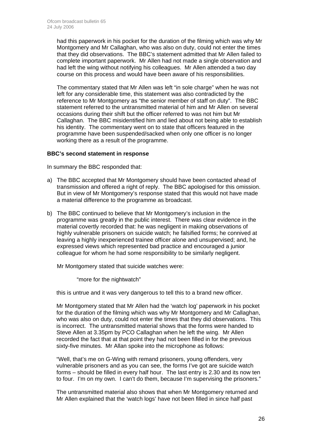had this paperwork in his pocket for the duration of the filming which was why Mr Montgomery and Mr Callaghan, who was also on duty, could not enter the times that they did observations. The BBC's statement admitted that Mr Allen failed to complete important paperwork. Mr Allen had not made a single observation and had left the wing without notifying his colleagues. Mr Allen attended a two day course on this process and would have been aware of his responsibilities.

The commentary stated that Mr Allen was left "in sole charge" when he was not left for any considerable time, this statement was also contradicted by the reference to Mr Montgomery as "the senior member of staff on duty". The BBC statement referred to the untransmitted material of him and Mr Allen on several occasions during their shift but the officer referred to was not him but Mr Callaghan. The BBC misidentified him and lied about not being able to establish his identity. The commentary went on to state that officers featured in the programme have been suspended/sacked when only one officer is no longer working there as a result of the programme.

## **BBC's second statement in response**

In summary the BBC responded that:

- a) The BBC accepted that Mr Montgomery should have been contacted ahead of transmission and offered a right of reply. The BBC apologised for this omission. But in view of Mr Montgomery's response stated that this would not have made a material difference to the programme as broadcast.
- b) The BBC continued to believe that Mr Montgomery's inclusion in the programme was greatly in the public interest. There was clear evidence in the material covertly recorded that: he was negligent in making observations of highly vulnerable prisoners on suicide watch; he falsified forms; he connived at leaving a highly inexperienced trainee officer alone and unsupervised; and, he expressed views which represented bad practice and encouraged a junior colleague for whom he had some responsibility to be similarly negligent.

Mr Montgomery stated that suicide watches were:

"more for the nightwatch"

this is untrue and it was very dangerous to tell this to a brand new officer.

 Mr Montgomery stated that Mr Allen had the 'watch log' paperwork in his pocket for the duration of the filming which was why Mr Montgomery and Mr Callaghan, who was also on duty, could not enter the times that they did observations. This is incorrect. The untransmitted material shows that the forms were handed to Steve Allen at 3.35pm by PCO Callaghan when he left the wing. Mr Allen recorded the fact that at that point they had not been filled in for the previous sixty-five minutes. Mr Allan spoke into the microphone as follows:

 "Well, that's me on G-Wing with remand prisoners, young offenders, very vulnerable prisoners and as you can see, the forms I've got are suicide watch forms – should be filled in every half hour. The last entry is 2.30 and its now ten to four. I'm on my own. I can't do them, because I'm supervising the prisoners."

 The untransmitted material also shows that when Mr Montgomery returned and Mr Allen explained that the 'watch logs' have not been filled in since half past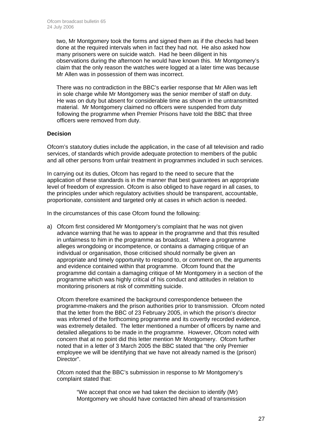two, Mr Montgomery took the forms and signed them as if the checks had been done at the required intervals when in fact they had not. He also asked how many prisoners were on suicide watch. Had he been diligent in his observations during the afternoon he would have known this. Mr Montgomery's claim that the only reason the watches were logged at a later time was because Mr Allen was in possession of them was incorrect.

There was no contradiction in the BBC's earlier response that Mr Allen was left in sole charge while Mr Montgomery was the senior member of staff on duty. He was on duty but absent for considerable time as shown in the untransmitted material. Mr Montgomery claimed no officers were suspended from duty following the programme when Premier Prisons have told the BBC that three officers were removed from duty.

## **Decision**

Ofcom's statutory duties include the application, in the case of all television and radio services, of standards which provide adequate protection to members of the public and all other persons from unfair treatment in programmes included in such services.

In carrying out its duties, Ofcom has regard to the need to secure that the application of these standards is in the manner that best guarantees an appropriate level of freedom of expression. Ofcom is also obliged to have regard in all cases, to the principles under which regulatory activities should be transparent, accountable, proportionate, consistent and targeted only at cases in which action is needed.

In the circumstances of this case Ofcom found the following:

a) Ofcom first considered Mr Montgomery's complaint that he was not given advance warning that he was to appear in the programme and that this resulted in unfairness to him in the programme as broadcast. Where a programme alleges wrongdoing or incompetence, or contains a damaging critique of an individual or organisation, those criticised should normally be given an appropriate and timely opportunity to respond to, or comment on, the arguments and evidence contained within that programme. Ofcom found that the programme did contain a damaging critique of Mr Montgomery in a section of the programme which was highly critical of his conduct and attitudes in relation to monitoring prisoners at risk of committing suicide.

Ofcom therefore examined the background correspondence between the programme-makers and the prison authorities prior to transmission. Ofcom noted that the letter from the BBC of 23 February 2005, in which the prison's director was informed of the forthcoming programme and its covertly recorded evidence, was extremely detailed. The letter mentioned a number of officers by name and detailed allegations to be made in the programme. However, Ofcom noted with concern that at no point did this letter mention Mr Montgomery. Ofcom further noted that in a letter of 3 March 2005 the BBC stated that "the only Premier employee we will be identifying that we have not already named is the (prison) Director".

Ofcom noted that the BBC's submission in response to Mr Montgomery's complaint stated that:

> "We accept that once we had taken the decision to identify (Mr) Montgomery we should have contacted him ahead of transmission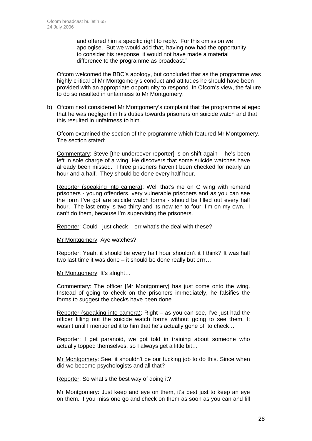and offered him a specific right to reply. For this omission we apologise. But we would add that, having now had the opportunity to consider his response, it would not have made a material difference to the programme as broadcast."

Ofcom welcomed the BBC's apology, but concluded that as the programme was highly critical of Mr Montgomery's conduct and attitudes he should have been provided with an appropriate opportunity to respond. In Ofcom's view, the failure to do so resulted in unfairness to Mr Montgomery.

b) Ofcom next considered Mr Montgomery's complaint that the programme alleged that he was negligent in his duties towards prisoners on suicide watch and that this resulted in unfairness to him.

Ofcom examined the section of the programme which featured Mr Montgomery. The section stated:

Commentary: Steve [the undercover reporter] is on shift again – he's been left in sole charge of a wing. He discovers that some suicide watches have already been missed. Three prisoners haven't been checked for nearly an hour and a half. They should be done every half hour.

Reporter (speaking into camera): Well that's me on G wing with remand prisoners - young offenders, very vulnerable prisoners and as you can see the form I've got are suicide watch forms - should be filled out every half hour. The last entry is two thirty and its now ten to four. I'm on my own. I can't do them, because I'm supervising the prisoners.

Reporter: Could I just check – err what's the deal with these?

Mr Montgomery: Aye watches?

Reporter: Yeah, it should be every half hour shouldn't it I think? It was half two last time it was done – it should be done really but errr…

Mr Montgomery: It's alright…

Commentary: The officer [Mr Montgomery] has just come onto the wing. Instead of going to check on the prisoners immediately, he falsifies the forms to suggest the checks have been done.

Reporter (speaking into camera): Right – as you can see, I've just had the officer filling out the suicide watch forms without going to see them. It wasn't until I mentioned it to him that he's actually gone off to check…

Reporter: I get paranoid, we got told in training about someone who actually topped themselves, so I always get a little bit…

Mr Montgomery: See, it shouldn't be our fucking job to do this. Since when did we become psychologists and all that?

Reporter: So what's the best way of doing it?

Mr Montgomery: Just keep and eye on them, it's best just to keep an eye on them. If you miss one go and check on them as soon as you can and fill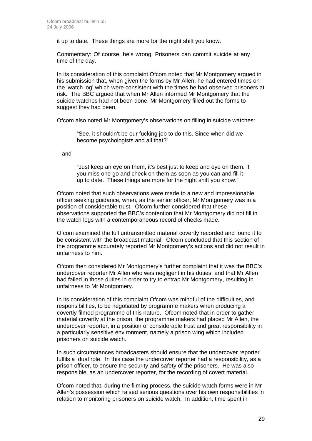it up to date. These things are more for the night shift you know.

Commentary: Of course, he's wrong. Prisoners can commit suicide at any time of the day.

In its consideration of this complaint Ofcom noted that Mr Montgomery argued in his submission that, when given the forms by Mr Allen, he had entered times on the 'watch log' which were consistent with the times he had observed prisoners at risk. The BBC argued that when Mr Allen informed Mr Montgomery that the suicide watches had not been done, Mr Montgomery filled out the forms to suggest they had been.

Ofcom also noted Mr Montgomery's observations on filling in suicide watches:

"See, it shouldn't be our fucking job to do this. Since when did we become psychologists and all that?"

and

"Just keep an eye on them, it's best just to keep and eye on them. If you miss one go and check on them as soon as you can and fill it up to date. These things are more for the night shift you know."

 Ofcom noted that such observations were made to a new and impressionable officer seeking guidance, when, as the senior officer, Mr Montgomery was in a position of considerable trust. Ofcom further considered that these observations supported the BBC's contention that Mr Montgomery did not fill in the watch logs with a contemporaneous record of checks made.

Ofcom examined the full untransmitted material covertly recorded and found it to be consistent with the broadcast material. Ofcom concluded that this section of the programme accurately reported Mr Montgomery's actions and did not result in unfairness to him.

Ofcom then considered Mr Montgomery's further complaint that it was the BBC's undercover reporter Mr Allen who was negligent in his duties, and that Mr Allen had failed in those duties in order to try to entrap Mr Montgomery, resulting in unfairness to Mr Montgomery.

In its consideration of this complaint Ofcom was mindful of the difficulties, and responsibilities, to be negotiated by programme makers when producing a covertly filmed programme of this nature. Ofcom noted that in order to gather material covertly at the prison, the programme makers had placed Mr Allen, the undercover reporter, in a position of considerable trust and great responsibility in a particularly sensitive environment, namely a prison wing which included prisoners on suicide watch.

In such circumstances broadcasters should ensure that the undercover reporter fulfils a dual role. In this case the undercover reporter had a responsibility, as a prison officer, to ensure the security and safety of the prisoners. He was also responsible, as an undercover reporter, for the recording of covert material.

Ofcom noted that, during the filming process, the suicide watch forms were in Mr Allen's possession which raised serious questions over his own responsibilities in relation to monitoring prisoners on suicide watch. In addition, time spent in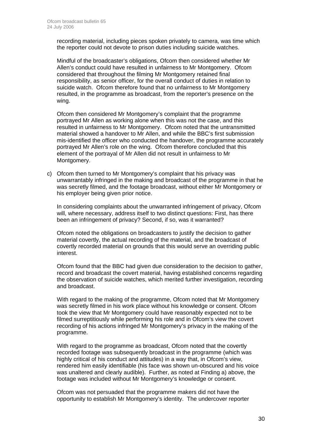recording material, including pieces spoken privately to camera, was time which the reporter could not devote to prison duties including suicide watches.

Mindful of the broadcaster's obligations, Ofcom then considered whether Mr Allen's conduct could have resulted in unfairness to Mr Montgomery. Ofcom considered that throughout the filming Mr Montgomery retained final responsibility, as senior officer, for the overall conduct of duties in relation to suicide watch. Ofcom therefore found that no unfairness to Mr Montgomery resulted, in the programme as broadcast, from the reporter's presence on the wing.

Ofcom then considered Mr Montgomery's complaint that the programme portrayed Mr Allen as working alone when this was not the case, and this resulted in unfairness to Mr Montgomery. Ofcom noted that the untransmitted material showed a handover to Mr Allen, and while the BBC's first submission mis-identified the officer who conducted the handover, the programme accurately portrayed Mr Allen's role on the wing. Ofcom therefore concluded that this element of the portrayal of Mr Allen did not result in unfairness to Mr Montgomery.

c) Ofcom then turned to Mr Montgomery's complaint that his privacy was unwarrantably infringed in the making and broadcast of the programme in that he was secretly filmed, and the footage broadcast, without either Mr Montgomery or his employer being given prior notice.

In considering complaints about the unwarranted infringement of privacy, Ofcom will, where necessary, address itself to two distinct questions: First, has there been an infringement of privacy? Second, if so, was it warranted?

Ofcom noted the obligations on broadcasters to justify the decision to gather material covertly, the actual recording of the material, and the broadcast of covertly recorded material on grounds that this would serve an overriding public interest.

Ofcom found that the BBC had given due consideration to the decision to gather, record and broadcast the covert material, having established concerns regarding the observation of suicide watches, which merited further investigation, recording and broadcast.

With regard to the making of the programme, Ofcom noted that Mr Montgomery was secretly filmed in his work place without his knowledge or consent. Ofcom took the view that Mr Montgomery could have reasonably expected not to be filmed surreptitiously while performing his role and in Ofcom's view the covert recording of his actions infringed Mr Montgomery's privacy in the making of the programme.

With regard to the programme as broadcast, Ofcom noted that the covertly recorded footage was subsequently broadcast in the programme (which was highly critical of his conduct and attitudes) in a way that, in Ofcom's view, rendered him easily identifiable (his face was shown un-obscured and his voice was unaltered and clearly audible). Further, as noted at Finding a) above, the footage was included without Mr Montgomery's knowledge or consent.

Ofcom was not persuaded that the programme makers did not have the opportunity to establish Mr Montgomery's identity. The undercover reporter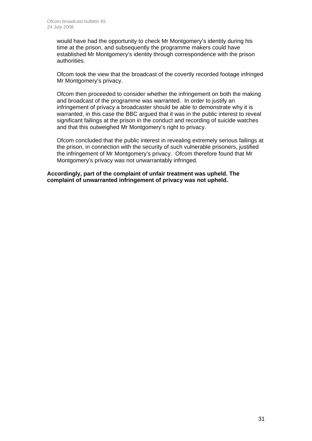would have had the opportunity to check Mr Montgomery's identity during his time at the prison, and subsequently the programme makers could have established Mr Montgomery's identity through correspondence with the prison authorities.

Ofcom took the view that the broadcast of the covertly recorded footage infringed Mr Montgomery's privacy.

Ofcom then proceeded to consider whether the infringement on both the making and broadcast of the programme was warranted. In order to justify an infringement of privacy a broadcaster should be able to demonstrate why it is warranted, in this case the BBC argued that it was in the public interest to reveal significant failings at the prison in the conduct and recording of suicide watches and that this outweighed Mr Montgomery's right to privacy.

Ofcom concluded that the public interest in revealing extremely serious failings at the prison, in connection with the security of such vulnerable prisoners, justified the infringement of Mr Montgomery's privacy. Ofcom therefore found that Mr Montgomery's privacy was not unwarrantably infringed.

**Accordingly, part of the complaint of unfair treatment was upheld. The complaint of unwarranted infringement of privacy was not upheld.**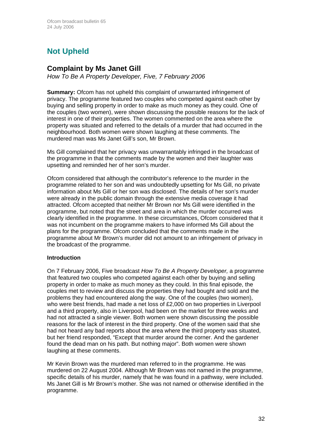# **Not Upheld**

## **Complaint by Ms Janet Gill**

*How To Be A Property Developer, Five, 7 February 2006* 

**Summary:** Ofcom has not upheld this complaint of unwarranted infringement of privacy. The programme featured two couples who competed against each other by buying and selling property in order to make as much money as they could. One of the couples (two women), were shown discussing the possible reasons for the lack of interest in one of their properties. The women commented on the area where the property was situated and referred to the details of a murder that had occurred in the neighbourhood. Both women were shown laughing at these comments. The murdered man was Ms Janet Gill's son, Mr Brown.

Ms Gill complained that her privacy was unwarrantably infringed in the broadcast of the programme in that the comments made by the women and their laughter was upsetting and reminded her of her son's murder.

Ofcom considered that although the contributor's reference to the murder in the programme related to her son and was undoubtedly upsetting for Ms Gill, no private information about Ms Gill or her son was disclosed. The details of her son's murder were already in the public domain through the extensive media coverage it had attracted. Ofcom accepted that neither Mr Brown nor Ms Gill were identified in the programme, but noted that the street and area in which the murder occurred was clearly identified in the programme. In these circumstances, Ofcom considered that it was not incumbent on the programme makers to have informed Ms Gill about the plans for the programme. Ofcom concluded that the comments made in the programme about Mr Brown's murder did not amount to an infringement of privacy in the broadcast of the programme.

## **Introduction**

On 7 February 2006, Five broadcast *How To Be A Property Developer,* a programme that featured two couples who competed against each other by buying and selling property in order to make as much money as they could. In this final episode, the couples met to review and discuss the properties they had bought and sold and the problems they had encountered along the way. One of the couples (two women), who were best friends, had made a net loss of £2,000 on two properties in Liverpool and a third property, also in Liverpool, had been on the market for three weeks and had not attracted a single viewer. Both women were shown discussing the possible reasons for the lack of interest in the third property. One of the women said that she had not heard any bad reports about the area where the third property was situated, but her friend responded, "Except that murder around the corner. And the gardener found the dead man on his path. But nothing major". Both women were shown laughing at these comments.

Mr Kevin Brown was the murdered man referred to in the programme. He was murdered on 22 August 2004. Although Mr Brown was not named in the programme, specific details of his murder, namely that he was found in a pathway, were included. Ms Janet Gill is Mr Brown's mother. She was not named or otherwise identified in the programme.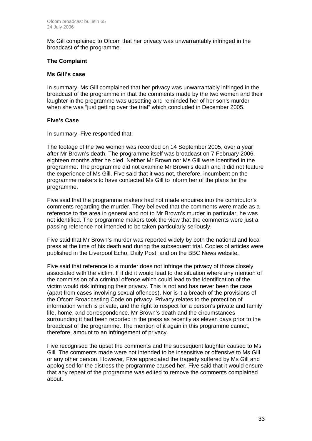Ms Gill complained to Ofcom that her privacy was unwarrantably infringed in the broadcast of the programme.

## **The Complaint**

#### **Ms Gill's case**

In summary, Ms Gill complained that her privacy was unwarrantably infringed in the broadcast of the programme in that the comments made by the two women and their laughter in the programme was upsetting and reminded her of her son's murder when she was "just getting over the trial" which concluded in December 2005.

## **Five's Case**

In summary, Five responded that:

The footage of the two women was recorded on 14 September 2005, over a year after Mr Brown's death. The programme itself was broadcast on 7 February 2006, eighteen months after he died. Neither Mr Brown nor Ms Gill were identified in the programme. The programme did not examine Mr Brown's death and it did not feature the experience of Ms Gill. Five said that it was not, therefore, incumbent on the programme makers to have contacted Ms Gill to inform her of the plans for the programme.

Five said that the programme makers had not made enquires into the contributor's comments regarding the murder. They believed that the comments were made as a reference to the area in general and not to Mr Brown's murder in particular, he was not identified. The programme makers took the view that the comments were just a passing reference not intended to be taken particularly seriously.

Five said that Mr Brown's murder was reported widely by both the national and local press at the time of his death and during the subsequent trial. Copies of articles were published in the Liverpool Echo, Daily Post, and on the BBC News website.

Five said that reference to a murder does not infringe the privacy of those closely associated with the victim. If it did it would lead to the situation where any mention of the commission of a criminal offence which could lead to the identification of the victim would risk infringing their privacy. This is not and has never been the case (apart from cases involving sexual offences). Nor is it a breach of the provisions of the Ofcom Broadcasting Code on privacy. Privacy relates to the protection of information which is private, and the right to respect for a person's private and family life, home, and correspondence. Mr Brown's death and the circumstances surrounding it had been reported in the press as recently as eleven days prior to the broadcast of the programme. The mention of it again in this programme cannot, therefore, amount to an infringement of privacy.

Five recognised the upset the comments and the subsequent laughter caused to Ms Gill. The comments made were not intended to be insensitive or offensive to Ms Gill or any other person. However, Five appreciated the tragedy suffered by Ms Gill and apologised for the distress the programme caused her. Five said that it would ensure that any repeat of the programme was edited to remove the comments complained about.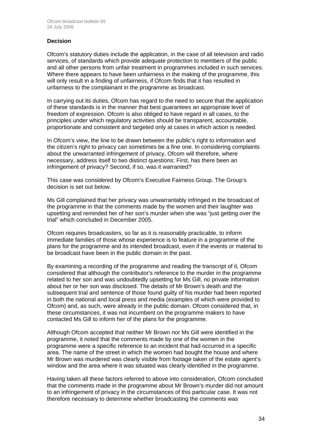## **Decision**

Ofcom's statutory duties include the application, in the case of all television and radio services, of standards which provide adequate protection to members of the public and all other persons from unfair treatment in programmes included in such services. Where there appears to have been unfairness in the making of the programme, this will only result in a finding of unfairness, if Ofcom finds that it has resulted in unfairness to the complainant in the programme as broadcast.

In carrying out its duties, Ofcom has regard to the need to secure that the application of these standards is in the manner that best guarantees an appropriate level of freedom of expression. Ofcom is also obliged to have regard in all cases, to the principles under which regulatory activities should be transparent, accountable, proportionate and consistent and targeted only at cases in which action is needed.

In Ofcom's view, the line to be drawn between the public's right to information and the citizen's right to privacy can sometimes be a fine one. In considering complaints about the unwarranted infringement of privacy, Ofcom will therefore, where necessary, address itself to two distinct questions: First, has there been an infringement of privacy? Second, if so, was it warranted?

This case was considered by Ofcom's Executive Fairness Group. The Group's decision is set out below.

Ms Gill complained that her privacy was unwarrantably infringed in the broadcast of the programme in that the comments made by the women and their laughter was upsetting and reminded her of her son's murder when she was "just getting over the trial" which concluded in December 2005.

Ofcom requires broadcasters, so far as it is reasonably practicable, to inform immediate families of those whose experience is to feature in a programme of the plans for the programme and its intended broadcast, even if the events or material to be broadcast have been in the public domain in the past.

By examining a recording of the programme and reading the transcript of it, Ofcom considered that although the contributor's reference to the murder in the programme related to her son and was undoubtedly upsetting for Ms Gill, no private information about her or her son was disclosed. The details of Mr Brown's death and the subsequent trial and sentence of those found guilty of his murder had been reported in both the national and local press and media (examples of which were provided to Ofcom) and, as such, were already in the public domain. Ofcom considered that, in these circumstances, it was not incumbent on the programme makers to have contacted Ms Gill to inform her of the plans for the programme.

Although Ofcom accepted that neither Mr Brown nor Ms Gill were identified in the programme, it noted that the comments made by one of the women in the programme were a specific reference to an incident that had occurred in a specific area. The name of the street in which the women had bought the house and where Mr Brown was murdered was clearly visible from footage taken of the estate agent's window and the area where it was situated was clearly identified in the programme.

Having taken all these factors referred to above into consideration, Ofcom concluded that the comments made in the programme about Mr Brown's murder did not amount to an infringement of privacy in the circumstances of this particular case. It was not therefore necessary to determine whether broadcasting the comments was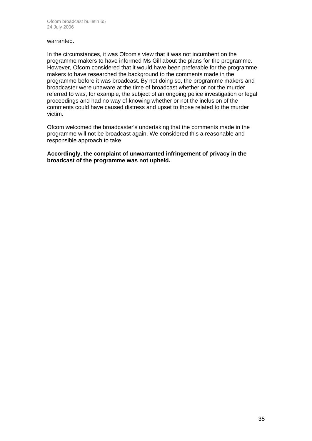#### warranted.

In the circumstances, it was Ofcom's view that it was not incumbent on the programme makers to have informed Ms Gill about the plans for the programme. However, Ofcom considered that it would have been preferable for the programme makers to have researched the background to the comments made in the programme before it was broadcast. By not doing so, the programme makers and broadcaster were unaware at the time of broadcast whether or not the murder referred to was, for example, the subject of an ongoing police investigation or legal proceedings and had no way of knowing whether or not the inclusion of the comments could have caused distress and upset to those related to the murder victim.

Ofcom welcomed the broadcaster's undertaking that the comments made in the programme will not be broadcast again. We considered this a reasonable and responsible approach to take.

**Accordingly, the complaint of unwarranted infringement of privacy in the broadcast of the programme was not upheld.**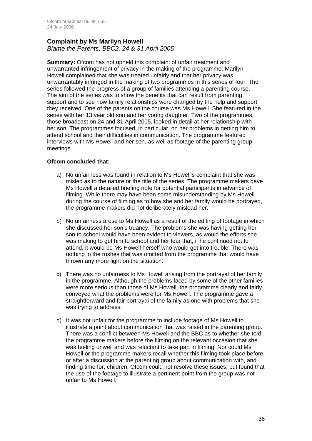## **Complaint by Ms Marilyn Howell**  *Blame the Parents, BBC2, 24 & 31 April 2005*

**Summary:** Ofcom has not upheld this complaint of unfair treatment and unwarranted infringement of privacy in the making of the programme. Marilyn Howell complained that she was treated unfairly and that her privacy was unwarrantably infringed in the making of two programmes in this series of four. The series followed the progress of a group of families attending a parenting course. The aim of the series was to show the benefits that can result from parenting support and to see how family relationships were changed by the help and support they received. One of the parents on the course was Ms Howell. She featured in the series with her 13 year old son and her young daughter. Two of the programmes, those broadcast on 24 and 31 April 2005, looked in detail at her relationship with her son. The programmes focused, in particular, on her problems in getting him to attend school and their difficulties in communication. The programme featured interviews with Ms Howell and her son, as well as footage of the parenting group meetings.

## **Ofcom concluded that:**

- a) No unfairness was found in relation to Ms Howell's complaint that she was misled as to the nature or the title of the series. The programme makers gave Ms Howell a detailed briefing note for potential participants in advance of filming. While there may have been some misunderstanding by Ms Howell during the course of filming as to how she and her family would be portrayed, the programme makers did not deliberately mislead her.
- b) No unfairness arose to Ms Howell as a result of the editing of footage in which she discussed her son's truancy. The problems she was having getting her son to school would have been evident to viewers, as would the efforts she was making to get him to school and her fear that, if he continued not to attend, it would be Ms Howell herself who would get into trouble. There was nothing in the rushes that was omitted from the programme that would have thrown any more light on the situation.
- c) There was no unfairness to Ms Howell arising from the portrayal of her family in the programme. Although the problems faced by some of the other families were more serious than those of Ms Howell, the programme clearly and fairly conveyed what the problems were for Ms Howell. The programme gave a straightforward and fair portrayal of the family as one with problems that she was trying to address.
- d) It was not unfair for the programme to include footage of Ms Howell to illustrate a point about communication that was raised in the parenting group. There was a conflict between Ms Howell and the BBC as to whether she told the programme makers before the filming on the relevant occasion that she was feeling unwell and was reluctant to take part in filming. Nor could Ms Howell or the programme makers recall whether this filming took place before or after a discussion at the parenting group about communication with, and finding time for, children. Ofcom could not resolve these issues, but found that the use of the footage to illustrate a pertinent point from the group was not unfair to Ms Howell.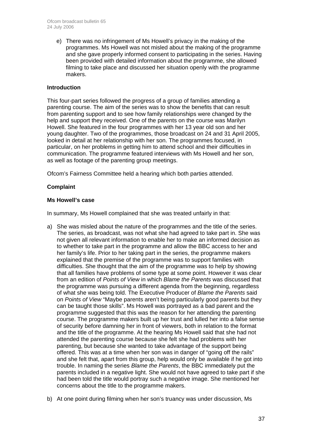e) There was no infringement of Ms Howell's privacy in the making of the programmes. Ms Howell was not misled about the making of the programme and she gave properly informed consent to participating in the series. Having been provided with detailed information about the programme, she allowed filming to take place and discussed her situation openly with the programme makers.

## **Introduction**

This four-part series followed the progress of a group of families attending a parenting course. The aim of the series was to show the benefits that can result from parenting support and to see how family relationships were changed by the help and support they received. One of the parents on the course was Marilyn Howell. She featured in the four programmes with her 13 year old son and her young daughter. Two of the programmes, those broadcast on 24 and 31 April 2005, looked in detail at her relationship with her son. The programmes focused, in particular, on her problems in getting him to attend school and their difficulties in communication. The programme featured interviews with Ms Howell and her son, as well as footage of the parenting group meetings.

Ofcom's Fairness Committee held a hearing which both parties attended.

## **Complaint**

## **Ms Howell's case**

In summary, Ms Howell complained that she was treated unfairly in that:

- a) She was misled about the nature of the programmes and the title of the series. The series, as broadcast, was not what she had agreed to take part in. She was not given all relevant information to enable her to make an informed decision as to whether to take part in the programme and allow the BBC access to her and her family's life. Prior to her taking part in the series, the programme makers explained that the premise of the programme was to support families with difficulties. She thought that the aim of the programme was to help by showing that all families have problems of some type at some point. However it was clear from an edition of *Points of View* in which *Blame the Parents* was discussed that the programme was pursuing a different agenda from the beginning, regardless of what she was being told. The Executive Producer of *Blame the Parents* said on *Points of View* "Maybe parents aren't being particularly good parents but they can be taught those skills". Ms Howell was portrayed as a bad parent and the programme suggested that this was the reason for her attending the parenting course. The programme makers built up her trust and lulled her into a false sense of security before damning her in front of viewers, both in relation to the format and the title of the programme. At the hearing Ms Howell said that she had not attended the parenting course because she felt she had problems with her parenting, but because she wanted to take advantage of the support being offered. This was at a time when her son was in danger of "going off the rails" and she felt that, apart from this group, help would only be available if he got into trouble. In naming the series *Blame the Parents*, the BBC immediately put the parents included in a negative light. She would not have agreed to take part if she had been told the title would portray such a negative image. She mentioned her concerns about the title to the programme makers.
- b) At one point during filming when her son's truancy was under discussion, Ms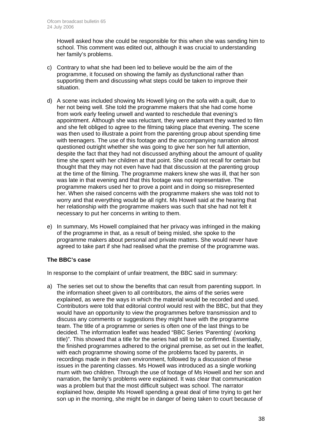Howell asked how she could be responsible for this when she was sending him to school. This comment was edited out, although it was crucial to understanding her family's problems.

- c) Contrary to what she had been led to believe would be the aim of the programme, it focused on showing the family as dysfunctional rather than supporting them and discussing what steps could be taken to improve their situation.
- d) A scene was included showing Ms Howell lying on the sofa with a quilt, due to her not being well. She told the programme makers that she had come home from work early feeling unwell and wanted to reschedule that evening's appointment. Although she was reluctant, they were adamant they wanted to film and she felt obliged to agree to the filming taking place that evening. The scene was then used to illustrate a point from the parenting group about spending time with teenagers. The use of this footage and the accompanying narration almost questioned outright whether she was going to give her son her full attention, despite the fact that they had not discussed anything about the amount of quality time she spent with her children at that point. She could not recall for certain but thought that they may not even have had that discussion at the parenting group at the time of the filming. The programme makers knew she was ill, that her son was late in that evening and that this footage was not representative. The programme makers used her to prove a point and in doing so misrepresented her. When she raised concerns with the programme makers she was told not to worry and that everything would be all right. Ms Howell said at the hearing that her relationship with the programme makers was such that she had not felt it necessary to put her concerns in writing to them.
- e) In summary, Ms Howell complained that her privacy was infringed in the making of the programme in that, as a result of being misled, she spoke to the programme makers about personal and private matters. She would never have agreed to take part if she had realised what the premise of the programme was.

## **The BBC's case**

In response to the complaint of unfair treatment, the BBC said in summary:

a) The series set out to show the benefits that can result from parenting support. In the information sheet given to all contributors, the aims of the series were explained, as were the ways in which the material would be recorded and used. Contributors were told that editorial control would rest with the BBC, but that they would have an opportunity to view the programmes before transmission and to discuss any comments or suggestions they might have with the programme team. The title of a programme or series is often one of the last things to be decided. The information leaflet was headed "BBC Series 'Parenting' (working title)". This showed that a title for the series had still to be confirmed. Essentially, the finished programmes adhered to the original premise, as set out in the leaflet, with each programme showing some of the problems faced by parents, in recordings made in their own environment, followed by a discussion of these issues in the parenting classes. Ms Howell was introduced as a single working mum with two children. Through the use of footage of Ms Howell and her son and narration, the family's problems were explained. It was clear that communication was a problem but that the most difficult subject was school. The narrator explained how, despite Ms Howell spending a great deal of time trying to get her son up in the morning, she might be in danger of being taken to court because of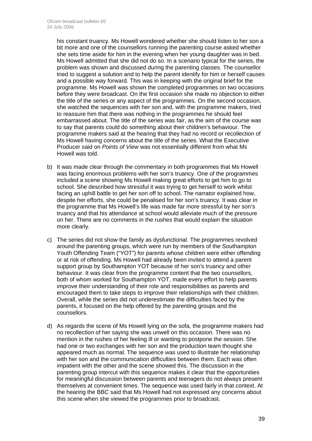his constant truancy. Ms Howell wondered whether she should listen to her son a bit more and one of the counsellors running the parenting course asked whether she sets time aside for him in the evening when her young daughter was in bed. Ms Howell admitted that she did not do so. In a scenario typical for the series, the problem was shown and discussed during the parenting classes. The counsellor tried to suggest a solution and to help the parent identify for him or herself causes and a possible way forward. This was in keeping with the original brief for the programme. Ms Howell was shown the completed programmes on two occasions before they were broadcast. On the first occasion she made no objection to either the title of the series or any aspect of the programmes. On the second occasion, she watched the sequences with her son and, with the programme makers, tried to reassure him that there was nothing in the programmes he should feel embarrassed about. The title of the series was fair, as the aim of the course was to say that parents could do something about their children's behaviour. The programme makers said at the hearing that they had no record or recollection of Ms Howell having concerns about the title of the series. What the Executive Producer said on *Points of View* was not essentially different from what Ms Howell was told.

- b) It was made clear through the commentary in both programmes that Ms Howell was facing enormous problems with her son's truancy. One of the programmes included a scene showing Ms Howell making great efforts to get him to go to school. She described how stressful it was trying to get herself to work whilst facing an uphill battle to get her son off to school. The narrator explained how, despite her efforts, she could be penalised for her son's truancy. It was clear in the programme that Ms Howell's life was made far more stressful by her son's truancy and that his attendance at school would alleviate much of the pressure on her. There are no comments in the rushes that would explain the situation more clearly.
- c) The series did not show the family as dysfunctional. The programmes revolved around the parenting groups, which were run by members of the Southampton Youth Offending Team ("YOT") for parents whose children were either offending or at risk of offending. Ms Howell had already been invited to attend a parent support group by Southampton YOT because of her son's truancy and other behaviour. It was clear from the programme content that the two counsellors, both of whom worked for Southampton YOT, made every effort to help parents improve their understanding of their role and responsibilities as parents and encouraged them to take steps to improve their relationships with their children. Overall, while the series did not underestimate the difficulties faced by the parents, it focused on the help offered by the parenting groups and the counsellors.
- d) As regards the scene of Ms Howell lying on the sofa, the programme makers had no recollection of her saying she was unwell on this occasion. There was no mention in the rushes of her feeling ill or wanting to postpone the session. She had one or two exchanges with her son and the production team thought she appeared much as normal. The sequence was used to illustrate her relationship with her son and the communication difficulties between them. Each was often impatient with the other and the scene showed this. The discussion in the parenting group intercut with this sequence makes it clear that the opportunities for meaningful discussion between parents and teenagers do not always present themselves at convenient times. The sequence was used fairly in that context. At the hearing the BBC said that Ms Howell had not expressed any concerns about this scene when she viewed the programmes prior to broadcast.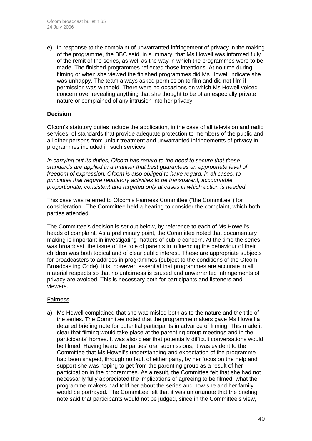e) In response to the complaint of unwarranted infringement of privacy in the making of the programme, the BBC said, in summary, that Ms Howell was informed fully of the remit of the series, as well as the way in which the programmes were to be made. The finished programmes reflected those intentions. At no time during filming or when she viewed the finished programmes did Ms Howell indicate she was unhappy. The team always asked permission to film and did not film if permission was withheld. There were no occasions on which Ms Howell voiced concern over revealing anything that she thought to be of an especially private nature or complained of any intrusion into her privacy.

## **Decision**

Ofcom's statutory duties include the application, in the case of all television and radio services, of standards that provide adequate protection to members of the public and all other persons from unfair treatment and unwarranted infringements of privacy in programmes included in such services.

*In carrying out its duties, Ofcom has regard to the need to secure that these standards are applied in a manner that best guarantees an appropriate level of freedom of expression. Ofcom is also obliged to have regard, in all cases, to principles that require regulatory activities to be transparent, accountable, proportionate, consistent and targeted only at cases in which action is needed.* 

This case was referred to Ofcom's Fairness Committee ("the Committee") for consideration. The Committee held a hearing to consider the complaint, which both parties attended.

The Committee's decision is set out below, by reference to each of Ms Howell's heads of complaint. As a preliminary point, the Committee noted that documentary making is important in investigating matters of public concern. At the time the series was broadcast, the issue of the role of parents in influencing the behaviour of their children was both topical and of clear public interest. These are appropriate subjects for broadcasters to address in programmes (subject to the conditions of the Ofcom Broadcasting Code). It is, however, essential that programmes are accurate in all material respects so that no unfairness is caused and unwarranted infringements of privacy are avoided. This is necessary both for participants and listeners and viewers.

## Fairness

a) Ms Howell complained that she was misled both as to the nature and the title of the series. The Committee noted that the programme makers gave Ms Howell a detailed briefing note for potential participants in advance of filming. This made it clear that filming would take place at the parenting group meetings and in the participants' homes. It was also clear that potentially difficult conversations would be filmed. Having heard the parties' oral submissions, it was evident to the Committee that Ms Howell's understanding and expectation of the programme had been shaped, through no fault of either party, by her focus on the help and support she was hoping to get from the parenting group as a result of her participation in the programmes. As a result, the Committee felt that she had not necessarily fully appreciated the implications of agreeing to be filmed, what the programme makers had told her about the series and how she and her family would be portrayed. The Committee felt that it was unfortunate that the briefing note said that participants would not be judged, since in the Committee's view,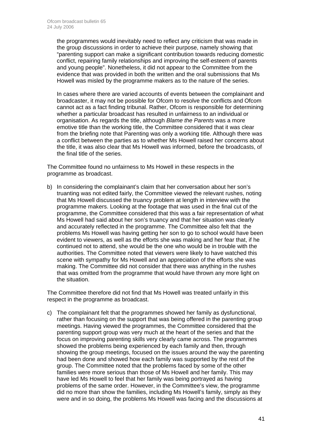the programmes would inevitably need to reflect any criticism that was made in the group discussions in order to achieve their purpose, namely showing that "parenting support can make a significant contribution towards reducing domestic conflict, repairing family relationships and improving the self-esteem of parents and young people". Nonetheless, it did not appear to the Committee from the evidence that was provided in both the written and the oral submissions that Ms Howell was misled by the programme makers as to the nature of the series.

 In cases where there are varied accounts of events between the complainant and broadcaster, it may not be possible for Ofcom to resolve the conflicts and Ofcom cannot act as a fact finding tribunal. Rather, Ofcom is responsible for determining whether a particular broadcast has resulted in unfairness to an individual or organisation. As regards the title, although *Blame the Parents* was a more emotive title than the working title, the Committee considered that it was clear from the briefing note that Parenting was only a working title. Although there was a conflict between the parties as to whether Ms Howell raised her concerns about the title, it was also clear that Ms Howell was informed, before the broadcasts, of the final title of the series.

The Committee found no unfairness to Ms Howell in these respects in the programme as broadcast.

b) In considering the complainant's claim that her conversation about her son's truanting was not edited fairly, the Committee viewed the relevant rushes, noting that Ms Howell discussed the truancy problem at length in interview with the programme makers. Looking at the footage that was used in the final cut of the programme, the Committee considered that this was a fair representation of what Ms Howell had said about her son's truancy and that her situation was clearly and accurately reflected in the programme. The Committee also felt that the problems Ms Howell was having getting her son to go to school would have been evident to viewers, as well as the efforts she was making and her fear that, if he continued not to attend, she would be the one who would be in trouble with the authorities. The Committee noted that viewers were likely to have watched this scene with sympathy for Ms Howell and an appreciation of the efforts she was making. The Committee did not consider that there was anything in the rushes that was omitted from the programme that would have thrown any more light on the situation.

The Committee therefore did not find that Ms Howell was treated unfairly in this respect in the programme as broadcast.

c) The complainant felt that the programmes showed her family as dysfunctional, rather than focusing on the support that was being offered in the parenting group meetings. Having viewed the programmes, the Committee considered that the parenting support group was very much at the heart of the series and that the focus on improving parenting skills very clearly came across. The programmes showed the problems being experienced by each family and then, through showing the group meetings, focused on the issues around the way the parenting had been done and showed how each family was supported by the rest of the group. The Committee noted that the problems faced by some of the other families were more serious than those of Ms Howell and her family. This may have led Ms Howell to feel that her family was being portrayed as having problems of the same order. However, in the Committee's view, the programme did no more than show the families, including Ms Howell's family, simply as they were and in so doing, the problems Ms Howell was facing and the discussions at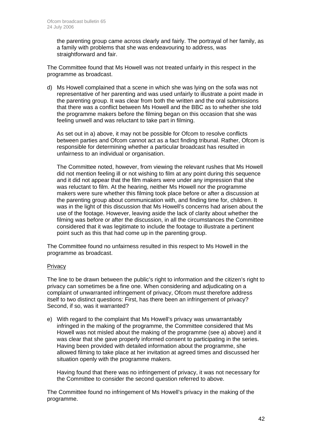the parenting group came across clearly and fairly. The portrayal of her family, as a family with problems that she was endeavouring to address, was straightforward and fair.

The Committee found that Ms Howell was not treated unfairly in this respect in the programme as broadcast.

d) Ms Howell complained that a scene in which she was lying on the sofa was not representative of her parenting and was used unfairly to illustrate a point made in the parenting group. It was clear from both the written and the oral submissions that there was a conflict between Ms Howell and the BBC as to whether she told the programme makers before the filming began on this occasion that she was feeling unwell and was reluctant to take part in filming.

 As set out in a) above, it may not be possible for Ofcom to resolve conflicts between parties and Ofcom cannot act as a fact finding tribunal. Rather, Ofcom is responsible for determining whether a particular broadcast has resulted in unfairness to an individual or organisation.

The Committee noted, however, from viewing the relevant rushes that Ms Howell did not mention feeling ill or not wishing to film at any point during this sequence and it did not appear that the film makers were under any impression that she was reluctant to film. At the hearing, neither Ms Howell nor the programme makers were sure whether this filming took place before or after a discussion at the parenting group about communication with, and finding time for, children. It was in the light of this discussion that Ms Howell's concerns had arisen about the use of the footage. However, leaving aside the lack of clarity about whether the filming was before or after the discussion, in all the circumstances the Committee considered that it was legitimate to include the footage to illustrate a pertinent point such as this that had come up in the parenting group.

The Committee found no unfairness resulted in this respect to Ms Howell in the programme as broadcast.

## **Privacy**

The line to be drawn between the public's right to information and the citizen's right to privacy can sometimes be a fine one. When considering and adjudicating on a complaint of unwarranted infringement of privacy, Ofcom must therefore address itself to two distinct questions: First, has there been an infringement of privacy? Second, if so, was it warranted?

e) With regard to the complaint that Ms Howell's privacy was unwarrantably infringed in the making of the programme, the Committee considered that Ms Howell was not misled about the making of the programme (see a) above) and it was clear that she gave properly informed consent to participating in the series. Having been provided with detailed information about the programme, she allowed filming to take place at her invitation at agreed times and discussed her situation openly with the programme makers.

Having found that there was no infringement of privacy, it was not necessary for the Committee to consider the second question referred to above.

The Committee found no infringement of Ms Howell's privacy in the making of the programme.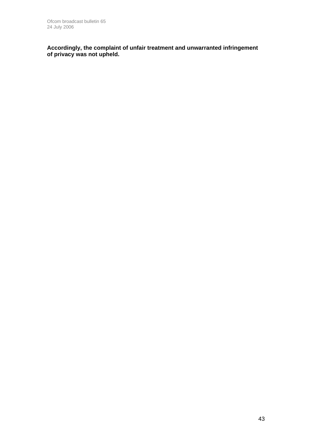**Accordingly, the complaint of unfair treatment and unwarranted infringement of privacy was not upheld.**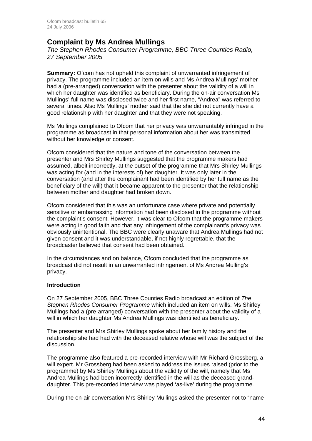# **Complaint by Ms Andrea Mullings**

*The Stephen Rhodes Consumer Programme, BBC Three Counties Radio, 27 September 2005* 

**Summary:** Ofcom has not upheld this complaint of unwarranted infringement of privacy. The programme included an item on wills and Ms Andrea Mullings' mother had a (pre-arranged) conversation with the presenter about the validity of a will in which her daughter was identified as beneficiary. During the on-air conversation Ms Mullings' full name was disclosed twice and her first name, "Andrea" was referred to several times. Also Ms Mullings' mother said that the she did not currently have a good relationship with her daughter and that they were not speaking.

Ms Mullings complained to Ofcom that her privacy was unwarrantably infringed in the programme as broadcast in that personal information about her was transmitted without her knowledge or consent.

Ofcom considered that the nature and tone of the conversation between the presenter and Mrs Shirley Mullings suggested that the programme makers had assumed, albeit incorrectly, at the outset of the programme that Mrs Shirley Mullings was acting for (and in the interests of) her daughter. It was only later in the conversation (and after the complainant had been identified by her full name as the beneficiary of the will) that it became apparent to the presenter that the relationship between mother and daughter had broken down.

Ofcom considered that this was an unfortunate case where private and potentially sensitive or embarrassing information had been disclosed in the programme without the complaint's consent. However, it was clear to Ofcom that the programme makers were acting in good faith and that any infringement of the complainant's privacy was obviously unintentional. The BBC were clearly unaware that Andrea Mullings had not given consent and it was understandable, if not highly regrettable, that the broadcaster believed that consent had been obtained.

In the circumstances and on balance, Ofcom concluded that the programme as broadcast did not result in an unwarranted infringement of Ms Andrea Mulling's privacy.

## **Introduction**

On 27 September 2005, BBC Three Counties Radio broadcast an edition of *The Stephen Rhodes Consumer Programme* which included an item on wills. Ms Shirley Mullings had a (pre-arranged) conversation with the presenter about the validity of a will in which her daughter Ms Andrea Mullings was identified as beneficiary.

The presenter and Mrs Shirley Mullings spoke about her family history and the relationship she had had with the deceased relative whose will was the subject of the discussion.

The programme also featured a pre-recorded interview with Mr Richard Grossberg, a will expert. Mr Grossberg had been asked to address the issues raised (prior to the programme) by Ms Shirley Mullings about the validity of the will, namely that Ms Andrea Mullings had been incorrectly identified in the will as the deceased granddaughter. This pre-recorded interview was played 'as-live' during the programme.

During the on-air conversation Mrs Shirley Mullings asked the presenter not to "name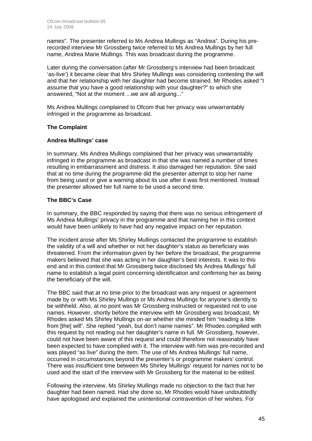names". The presenter referred to Ms Andrea Mullings as "Andrea". During his prerecorded interview Mr Grossberg twice referred to Ms Andrea Mullings by her full name, Andrea Marie Mullings. This was broadcast during the programme.

Later during the conversation (after Mr Grossberg's interview had been broadcast 'as-live') it became clear that Mrs Shirley Mullings was considering contesting the will and that her relationship with her daughter had become strained. Mr Rhodes asked "I assume that you have a good relationship with your daughter?" to which she answered, "Not at the moment ...we are all arguing..."

Ms Andrea Mullings complained to Ofcom that her privacy was unwarrantably infringed in the programme as broadcast.

## **The Complaint**

## **Andrea Mullings' case**

In summary, Ms Andrea Mullings complained that her privacy was unwarrantably infringed in the programme as broadcast in that she was named a number of times resulting in embarrassment and distress. It also damaged her reputation. She said that at no time during the programme did the presenter attempt to stop her name from being used or give a warning about its use after it was first mentioned. Instead the presenter allowed her full name to be used a second time.

## **The BBC's Case**

In summary, the BBC responded by saying that there was no serious infringement of Ms Andrea Mullings' privacy in the programme and that naming her in this context would have been unlikely to have had any negative impact on her reputation.

The incident arose after Ms Shirley Mullings contacted the programme to establish the validity of a will and whether or not her daughter's status as beneficiary was threatened. From the information given by her before the broadcast, the programme makers believed that she was acting in her daughter's best interests. It was to this end and in this context that Mr Grossberg twice disclosed Ms Andrea Mullings' full name to establish a legal point concerning identification and confirming her as being the beneficiary of the will.

The BBC said that at no time prior to the broadcast was any request or agreement made by or with Ms Shirley Mullings or Ms Andrea Mullings for anyone's identity to be withheld. Also, at no point was Mr Grossberg instructed or requested not to use names. However, shortly before the interview with Mr Grossberg was broadcast, Mr Rhodes asked Ms Shirley Mullings on-air whether she minded him "reading a little from [the] will". She replied "yeah, but don't name names". Mr Rhodes complied with this request by not reading out her daughter's name in full. Mr Grossberg, however, could not have been aware of this request and could therefore not reasonably have been expected to have complied with it. The interview with him was pre-recorded and was played "as live" during the item. The use of Ms Andrea Mullings' full name, occurred in circumstances beyond the presenter's or programme makers' control. There was insufficient time between Ms Shirley Mullings' request for names not to be used and the start of the interview with Mr Grossberg for the material to be edited.

Following the interview, Ms Shirley Mullings made no objection to the fact that her daughter had been named. Had she done so, Mr Rhodes would have undoubtedly have apologised and explained the unintentional contravention of her wishes. For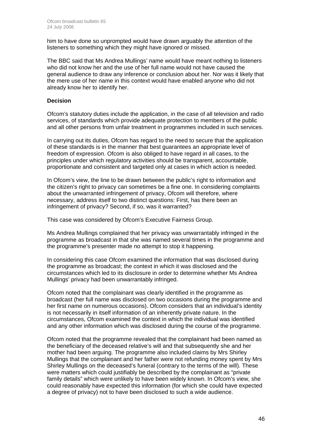him to have done so unprompted would have drawn arguably the attention of the listeners to something which they might have ignored or missed.

The BBC said that Ms Andrea Mullings' name would have meant nothing to listeners who did not know her and the use of her full name would not have caused the general audience to draw any inference or conclusion about her. Nor was it likely that the mere use of her name in this context would have enabled anyone who did not already know her to identify her.

## **Decision**

Ofcom's statutory duties include the application, in the case of all television and radio services, of standards which provide adequate protection to members of the public and all other persons from unfair treatment in programmes included in such services.

In carrying out its duties, Ofcom has regard to the need to secure that the application of these standards is in the manner that best guarantees an appropriate level of freedom of expression. Ofcom is also obliged to have regard in all cases, to the principles under which regulatory activities should be transparent, accountable, proportionate and consistent and targeted only at cases in which action is needed.

In Ofcom's view, the line to be drawn between the public's right to information and the citizen's right to privacy can sometimes be a fine one. In considering complaints about the unwarranted infringement of privacy, Ofcom will therefore, where necessary, address itself to two distinct questions: First, has there been an infringement of privacy? Second, if so, was it warranted?

This case was considered by Ofcom's Executive Fairness Group.

Ms Andrea Mullings complained that her privacy was unwarrantably infringed in the programme as broadcast in that she was named several times in the programme and the programme's presenter made no attempt to stop it happening.

In considering this case Ofcom examined the information that was disclosed during the programme as broadcast; the context in which it was disclosed and the circumstances which led to its disclosure in order to determine whether Ms Andrea Mullings' privacy had been unwarrantably infringed.

Ofcom noted that the complainant was clearly identified in the programme as broadcast (her full name was disclosed on two occasions during the programme and her first name on numerous occasions). Ofcom considers that an individual's identity is not necessarily in itself information of an inherently private nature. In the circumstances, Ofcom examined the context in which the individual was identified and any other information which was disclosed during the course of the programme.

Ofcom noted that the programme revealed that the complainant had been named as the beneficiary of the deceased relative's will and that subsequently she and her mother had been arguing. The programme also included claims by Mrs Shirley Mullings that the complainant and her father were not refunding money spent by Mrs Shirley Mullings on the deceased's funeral (contrary to the terms of the will). These were matters which could justifiably be described by the complainant as "private family details" which were unlikely to have been widely known. In Ofcom's view, she could reasonably have expected this information (for which she could have expected a degree of privacy) not to have been disclosed to such a wide audience.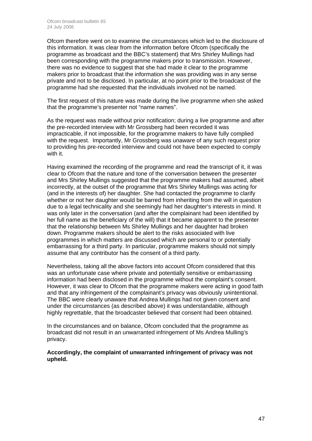Ofcom therefore went on to examine the circumstances which led to the disclosure of this information. It was clear from the information before Ofcom (specifically the programme as broadcast and the BBC's statement) that Mrs Shirley Mullings had been corresponding with the programme makers prior to transmission. However, there was no evidence to suggest that she had made it clear to the programme makers prior to broadcast that the information she was providing was in any sense private and not to be disclosed. In particular, at no point prior to the broadcast of the programme had she requested that the individuals involved not be named.

The first request of this nature was made during the live programme when she asked that the programme's presenter not "name names".

As the request was made without prior notification; during a live programme and after the pre-recorded interview with Mr Grossberg had been recorded it was impracticable, if not impossible, for the programme makers to have fully complied with the request. Importantly, Mr Grossberg was unaware of any such request prior to providing his pre-recorded interview and could not have been expected to comply with it.

Having examined the recording of the programme and read the transcript of it, it was clear to Ofcom that the nature and tone of the conversation between the presenter and Mrs Shirley Mullings suggested that the programme makers had assumed, albeit incorrectly, at the outset of the programme that Mrs Shirley Mullings was acting for (and in the interests of) her daughter. She had contacted the programme to clarify whether or not her daughter would be barred from inheriting from the will in question due to a legal technicality and she seemingly had her daughter's interests in mind. It was only later in the conversation (and after the complainant had been identified by her full name as the beneficiary of the will) that it became apparent to the presenter that the relationship between Ms Shirley Mullings and her daughter had broken down. Programme makers should be alert to the risks associated with live programmes in which matters are discussed which are personal to or potentially embarrassing for a third party. In particular, programme makers should not simply assume that any contributor has the consent of a third party.

Nevertheless, taking all the above factors into account Ofcom considered that this was an unfortunate case where private and potentially sensitive or embarrassing information had been disclosed in the programme without the complaint's consent. However, it was clear to Ofcom that the programme makers were acting in good faith and that any infringement of the complainant's privacy was obviously unintentional. The BBC were clearly unaware that Andrea Mullings had not given consent and under the circumstances (as described above) it was understandable, although highly regrettable, that the broadcaster believed that consent had been obtained.

In the circumstances and on balance, Ofcom concluded that the programme as broadcast did not result in an unwarranted infringement of Ms Andrea Mulling's privacy.

**Accordingly, the complaint of unwarranted infringement of privacy was not upheld.**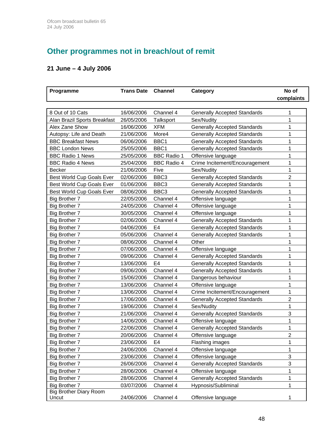# **Other programmes not in breach/out of remit**

# **21 June – 4 July 2006**

| Programme                        | <b>Trans Date</b> | <b>Channel</b>     | Category                            | No of          |
|----------------------------------|-------------------|--------------------|-------------------------------------|----------------|
|                                  |                   |                    |                                     | complaints     |
|                                  |                   |                    |                                     |                |
| 8 Out of 10 Cats                 | 16/06/2006        | Channel 4          | <b>Generally Accepted Standards</b> | 1              |
| Alan Brazil Sports Breakfast     | 26/05/2006        | Talksport          | Sex/Nudity                          | 1              |
| Alex Zane Show                   | 16/06/2006        | <b>XFM</b>         | <b>Generally Accepted Standards</b> | 1              |
| Autopsy: Life and Death          | 21/06/2006        | More4              | <b>Generally Accepted Standards</b> | 1              |
| <b>BBC Breakfast News</b>        | 06/06/2006        | BBC1               | <b>Generally Accepted Standards</b> | 1              |
| <b>BBC London News</b>           | 25/05/2006        | BBC1               | <b>Generally Accepted Standards</b> | 1              |
| <b>BBC Radio 1 News</b>          | 25/05/2006        | <b>BBC Radio 1</b> | Offensive language                  | 1              |
| <b>BBC Radio 4 News</b>          | 25/04/2006        | <b>BBC Radio 4</b> | Crime Incitement/Encouragement      | 1              |
| <b>Becker</b>                    | 21/06/2006        | Five               | Sex/Nudity                          | 1              |
| <b>Best World Cup Goals Ever</b> | 02/06/2006        | BBC <sub>3</sub>   | <b>Generally Accepted Standards</b> | $\overline{2}$ |
| Best World Cup Goals Ever        | 01/06/2006        | BBC <sub>3</sub>   | <b>Generally Accepted Standards</b> | 1              |
| Best World Cup Goals Ever        | 08/06/2006        | BBC <sub>3</sub>   | <b>Generally Accepted Standards</b> | 1              |
| <b>Big Brother 7</b>             | 22/05/2006        | Channel 4          | Offensive language                  | 1              |
| <b>Big Brother 7</b>             | 24/05/2006        | Channel 4          | Offensive language                  | 1              |
| Big Brother 7                    | 30/05/2006        | Channel 4          | Offensive language                  | 1              |
| Big Brother 7                    | 02/06/2006        | Channel 4          | <b>Generally Accepted Standards</b> | 1              |
| Big Brother 7                    | 04/06/2006        | E <sub>4</sub>     | <b>Generally Accepted Standards</b> | 1              |
| Big Brother 7                    | 05/06/2006        | Channel 4          | <b>Generally Accepted Standards</b> | 1              |
| Big Brother 7                    | 08/06/2006        | Channel 4          | Other                               | 1              |
| Big Brother 7                    | 07/06/2006        | Channel 4          | Offensive language                  | 1              |
| Big Brother 7                    | 09/06/2006        | Channel 4          | <b>Generally Accepted Standards</b> | 1              |
| Big Brother 7                    | 13/06/2006        | E4                 | <b>Generally Accepted Standards</b> | 1              |
| <b>Big Brother 7</b>             | 09/06/2006        | Channel 4          | <b>Generally Accepted Standards</b> | 1              |
| <b>Big Brother 7</b>             | 15/06/2006        | Channel 4          | Dangerous behaviour                 | 1              |
| Big Brother 7                    | 13/06/2006        | Channel 4          | Offensive language                  | 1              |
| Big Brother 7                    | 13/06/2006        | Channel 4          | Crime Incitement/Encouragement      | 1              |
| <b>Big Brother 7</b>             | 17/06/2006        | Channel 4          | <b>Generally Accepted Standards</b> | $\overline{2}$ |
| Big Brother 7                    | 19/06/2006        | Channel 4          | Sex/Nudity                          | 1              |
| Big Brother 7                    | 21/06/2006        | Channel 4          | <b>Generally Accepted Standards</b> | 3              |
| <b>Big Brother 7</b>             | 14/06/2006        | Channel 4          | Offensive language                  | 1              |
| <b>Big Brother 7</b>             | 22/06/2006        | Channel 4          | <b>Generally Accepted Standards</b> | 1              |
| <b>Big Brother 7</b>             | 20/06/2006        | Channel 4          | Offensive language                  | $\overline{c}$ |
| Big Brother 7                    | 23/06/2006        | E4                 | Flashing images                     | 1              |
| <b>Big Brother 7</b>             | 24/06/2006        | Channel 4          | Offensive language                  | 1              |
| Big Brother 7                    | 23/06/2006        | Channel 4          | Offensive language                  | 3              |
| Big Brother 7                    | 26/06/2006        | Channel 4          | <b>Generally Accepted Standards</b> | 3              |
| <b>Big Brother 7</b>             | 28/06/2006        | Channel 4          | Offensive language                  | 1              |
| <b>Big Brother 7</b>             | 28/06/2006        | Channel 4          | <b>Generally Accepted Standards</b> | 1              |
| Big Brother 7                    | 03/07/2006        | Channel 4          | Hypnosis/Subliminal                 | 1              |
| <b>Big Brother Diary Room</b>    |                   |                    |                                     |                |
| Uncut                            | 24/06/2006        | Channel 4          | Offensive language                  |                |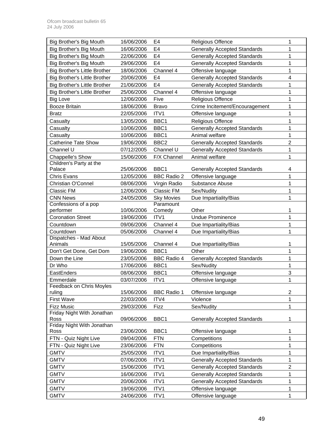| Big Brother's Big Mouth             | 16/06/2006 | E4                  | <b>Religious Offence</b>            | 1                       |
|-------------------------------------|------------|---------------------|-------------------------------------|-------------------------|
| Big Brother's Big Mouth             | 16/06/2006 | E <sub>4</sub>      | <b>Generally Accepted Standards</b> | 1                       |
| Big Brother's Big Mouth             | 22/06/2006 | E <sub>4</sub>      | <b>Generally Accepted Standards</b> | 1                       |
| Big Brother's Big Mouth             | 29/06/2006 | E <sub>4</sub>      | <b>Generally Accepted Standards</b> | 1                       |
| <b>Big Brother's Little Brother</b> | 18/06/2006 | Channel 4           | Offensive language                  | 1                       |
| <b>Big Brother's Little Brother</b> | 20/06/2006 | E <sub>4</sub>      | <b>Generally Accepted Standards</b> | $\overline{\mathbf{4}}$ |
| <b>Big Brother's Little Brother</b> | 21/06/2006 | E <sub>4</sub>      | <b>Generally Accepted Standards</b> | 1                       |
| <b>Big Brother's Little Brother</b> | 25/06/2006 | Channel 4           | Offensive language                  | 1                       |
| <b>Big Love</b>                     | 12/06/2006 | Five                | <b>Religious Offence</b>            | 1                       |
| <b>Booze Britain</b>                | 18/06/2006 | <b>Bravo</b>        | Crime Incitement/Encouragement      | 1                       |
| <b>Bratz</b>                        | 22/05/2006 | ITV1                | Offensive language                  | 1                       |
|                                     | 13/05/2006 | BBC1                |                                     | 1                       |
| Casualty                            |            |                     | <b>Religious Offence</b>            | 1                       |
| Casualty                            | 10/06/2006 | BBC1                | <b>Generally Accepted Standards</b> |                         |
| Casualty                            | 10/06/2006 | BBC1                | Animal welfare                      | 1                       |
| <b>Catherine Tate Show</b>          | 19/06/2006 | BBC <sub>2</sub>    | <b>Generally Accepted Standards</b> | $\mathbf 2$             |
| Channel U                           | 07/12/2005 | Channel U           | <b>Generally Accepted Standards</b> | 1                       |
| Chappelle's Show                    | 15/06/2006 | F/X Channel         | Animal welfare                      | 1                       |
| Children's Party at the             |            |                     |                                     |                         |
| Palace                              | 25/06/2006 | BBC <sub>1</sub>    | <b>Generally Accepted Standards</b> | 4                       |
| Chris Evans                         | 12/05/2006 | <b>BBC Radio 2</b>  | Offensive language                  | 1                       |
| <b>Christian O'Connel</b>           | 08/06/2006 | Virgin Radio        | Substance Abuse                     | 1                       |
| Classic FM                          | 12/06/2006 | Classic FM          | Sex/Nudity                          | 1                       |
| <b>CNN News</b>                     | 24/05/2006 | <b>Sky Movies</b>   | Due Impartiality/Bias               | 1                       |
| Confessions of a pop<br>performer   | 10/06/2006 | Paramount<br>Comedy | Other                               | 1                       |
| <b>Coronation Street</b>            | 19/06/2006 | ITV1                | <b>Undue Prominence</b>             | 1                       |
| Countdown                           | 09/06/2006 | Channel 4           |                                     | 1                       |
|                                     |            |                     | Due Impartiality/Bias               |                         |
| Countdown<br>Dispatches - Mad About | 05/06/2006 | Channel 4           | Due Impartiality/Bias               | 1                       |
| Animals                             | 15/05/2006 | Channel 4           | Due Impartiality/Bias               | 1                       |
| Don't Get Done, Get Dom             | 19/06/2006 | BBC1                | Other                               | 1                       |
| Down the Line                       | 23/05/2006 | <b>BBC Radio 4</b>  | <b>Generally Accepted Standards</b> | 1                       |
| Dr Who                              | 17/06/2006 | BBC1                | Sex/Nudity                          | 1                       |
| EastEnders                          | 08/06/2006 | BBC1                | Offensive language                  | 3                       |
| Emmerdale                           | 03/07/2006 | ITV <sub>1</sub>    | Offensive language                  | 1                       |
| Feedback on Chris Moyles            |            |                     |                                     |                         |
| ruling                              | 15/06/2006 | <b>BBC Radio 1</b>  | Offensive language                  | $\overline{c}$          |
| <b>First Wave</b>                   | 22/03/2006 | ITV4                | Violence                            | 1                       |
| <b>Fizz Music</b>                   | 29/03/2006 | Fizz                | Sex/Nudity                          | 1                       |
| Friday Night With Jonathan          |            |                     |                                     |                         |
| Ross                                | 09/06/2006 | BBC1                | <b>Generally Accepted Standards</b> | 1                       |
| Friday Night With Jonathan          |            |                     |                                     |                         |
| Ross                                | 23/06/2006 | BBC1                | Offensive language                  | 1                       |
| FTN - Quiz Night Live               | 09/04/2006 | <b>FTN</b>          | Competitions                        | 1                       |
| FTN - Quiz Night Live               | 23/06/2006 | <b>FTN</b>          | Competitions                        | 1                       |
| <b>GMTV</b>                         | 25/05/2006 | ITV1                | Due Impartiality/Bias               | 1                       |
| <b>GMTV</b>                         | 07/06/2006 | ITV1                | <b>Generally Accepted Standards</b> | 1                       |
| <b>GMTV</b>                         | 15/06/2006 | ITV1                | <b>Generally Accepted Standards</b> | $\overline{c}$          |
| <b>GMTV</b>                         | 16/06/2006 | ITV1                | <b>Generally Accepted Standards</b> | 1                       |
| <b>GMTV</b>                         | 20/06/2006 | ITV1                | <b>Generally Accepted Standards</b> | 1                       |
| <b>GMTV</b>                         | 19/06/2006 | ITV1                | Offensive language                  | 1                       |
| <b>GMTV</b>                         | 24/06/2006 | ITV1                | Offensive language                  | 1                       |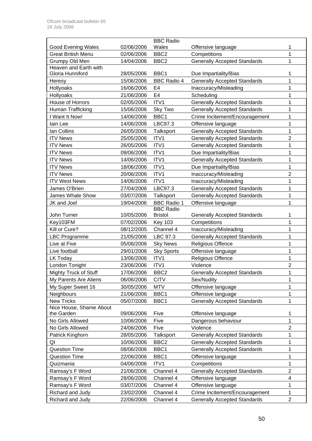|                           |            | <b>BBC Radio</b>                       |                                     |                         |
|---------------------------|------------|----------------------------------------|-------------------------------------|-------------------------|
| <b>Good Evening Wales</b> | 02/06/2006 | Wales                                  | Offensive language                  | 1                       |
| <b>Great British Menu</b> | 02/06/2006 | BBC <sub>2</sub>                       | Competitions                        | 1                       |
| Grumpy Old Men            | 14/04/2006 | BBC <sub>2</sub>                       | <b>Generally Accepted Standards</b> | 1                       |
| Heaven and Earth with     |            |                                        |                                     |                         |
| Gloria Hunniford          | 28/05/2006 | BBC1                                   | Due Impartiality/Bias               | 1                       |
| Heresy                    | 15/06/2006 | <b>BBC Radio 4</b><br>E <sub>4</sub>   | <b>Generally Accepted Standards</b> | 1<br>1                  |
| Hollyoaks                 | 16/06/2006 | E <sub>4</sub>                         | Inaccuracy/Misleading               | 1                       |
| Hollyoaks                 | 21/06/2006 |                                        | Scheduling                          |                         |
| House of Horrors          | 02/05/2006 | ITV1                                   | <b>Generally Accepted Standards</b> | 1                       |
| Human Trafficking         | 15/06/2006 | Sky Two                                | <b>Generally Accepted Standards</b> | 1                       |
| I Want It Now!            | 14/06/2006 | BBC1                                   | Crime Incitement/Encouragement      | 1                       |
| lain Lee                  | 14/06/2006 | LBC97.3                                | Offensive language                  | 1                       |
| Ian Collins               | 26/05/2006 | Talksport                              | <b>Generally Accepted Standards</b> | 1                       |
| <b>ITV News</b>           | 25/05/2006 | ITV1                                   | <b>Generally Accepted Standards</b> | 2                       |
| <b>ITV News</b>           | 26/05/2006 | ITV1                                   | <b>Generally Accepted Standards</b> | 1                       |
| <b>ITV News</b>           | 09/06/2006 | ITV1                                   | Due Impartiality/Bias               | 1                       |
| <b>ITV News</b>           | 14/06/2006 | ITV1                                   | <b>Generally Accepted Standards</b> | 1                       |
| <b>ITV News</b>           | 18/06/2006 | ITV1                                   | Due Impartiality/Bias               | 1                       |
| <b>ITV News</b>           | 20/06/2006 | ITV1                                   | Inaccuracy/Misleading               | $\overline{2}$          |
| <b>ITV West News</b>      | 14/06/2006 | ITV <sub>1</sub>                       | Inaccuracy/Misleading               | 1                       |
| James O'Brien             | 27/04/2006 | LBC97.3                                | <b>Generally Accepted Standards</b> | 1                       |
| <b>James Whale Show</b>   | 03/07/2006 | Talksport                              | <b>Generally Accepted Standards</b> | 1                       |
| JK and Joel               | 19/04/2006 | <b>BBC Radio 1</b><br><b>BBC Radio</b> | Offensive language                  | 1                       |
| John Turner               | 10/05/2006 | <b>Bristol</b>                         | <b>Generally Accepted Standards</b> | 1                       |
| Key103FM                  | 07/02/2006 | <b>Key 103</b>                         | Competitions                        | 1                       |
| Kill or Cure?             | 08/12/2005 | Channel 4                              | Inaccuracy/Misleading               | 1                       |
| <b>LBC Programme</b>      | 21/05/2006 | LBC 97.3                               | <b>Generally Accepted Standards</b> | 1                       |
| Live at Five              | 05/06/2006 | <b>Sky News</b>                        | Religious Offence                   | 1                       |
| Live football             | 29/01/2006 | <b>Sky Sports</b>                      | Offensive language                  | 1                       |
| <b>LK Today</b>           | 13/06/2006 | ITV1                                   | <b>Religious Offence</b>            | 1                       |
| London Tonight            | 23/06/2006 | ITV1                                   | Violence                            | $\mathbf 2$             |
| Mighty Truck of Stuff     | 17/06/2006 | BBC <sub>2</sub>                       | <b>Generally Accepted Standards</b> | 1                       |
| My Parents Are Aliens     | 06/06/2006 | <b>CITV</b>                            | Sex/Nudity                          | 1                       |
| My Super Sweet 16         | 30/05/2006 | <b>MTV</b>                             | Offensive language                  | 1                       |
| <b>Neighbours</b>         | 21/06/2006 | BBC1                                   | Offensive language                  | 1                       |
| <b>New Tricks</b>         | 05/07/2006 | BBC1                                   | <b>Generally Accepted Standards</b> | 1                       |
| Nice House, Shame About   |            |                                        |                                     |                         |
| the Garden                | 09/06/2006 | Five                                   | Offensive language                  | 1                       |
| No Girls Allowed          | 10/06/2006 | Five                                   | Dangerous behaviour                 | 1                       |
| No Girls Allowed          | 24/06/2006 | Five                                   | Violence                            | $\mathbf 2$             |
| Patrick Kinghorn          | 28/05/2006 | Talksport                              | <b>Generally Accepted Standards</b> | 1                       |
| QI                        | 10/06/2006 | BBC <sub>2</sub>                       | <b>Generally Accepted Standards</b> | 1                       |
| <b>Question Time</b>      | 08/06/2006 | BBC1                                   | <b>Generally Accepted Standards</b> | 1                       |
| <b>Question Time</b>      | 22/06/2006 | BBC1                                   | Offensive language                  | 1                       |
| Quizmania                 | 04/06/2006 | ITV1                                   | Competitions                        | 1                       |
| Ramsay's F Word           | 21/06/2006 | Channel 4                              | <b>Generally Accepted Standards</b> | 2                       |
| Ramsay's F Word           | 28/06/2006 | Channel 4                              | Offensive language                  | $\overline{\mathbf{4}}$ |
| Ramsay's F Word           | 03/07/2006 | Channel 4                              | Offensive language                  | 1                       |
| Richard and Judy          | 23/02/2006 | Channel 4                              | Crime Incitement/Encouragement      | 1                       |
| Richard and Judy          | 22/06/2006 | Channel 4                              | <b>Generally Accepted Standards</b> | $\overline{c}$          |